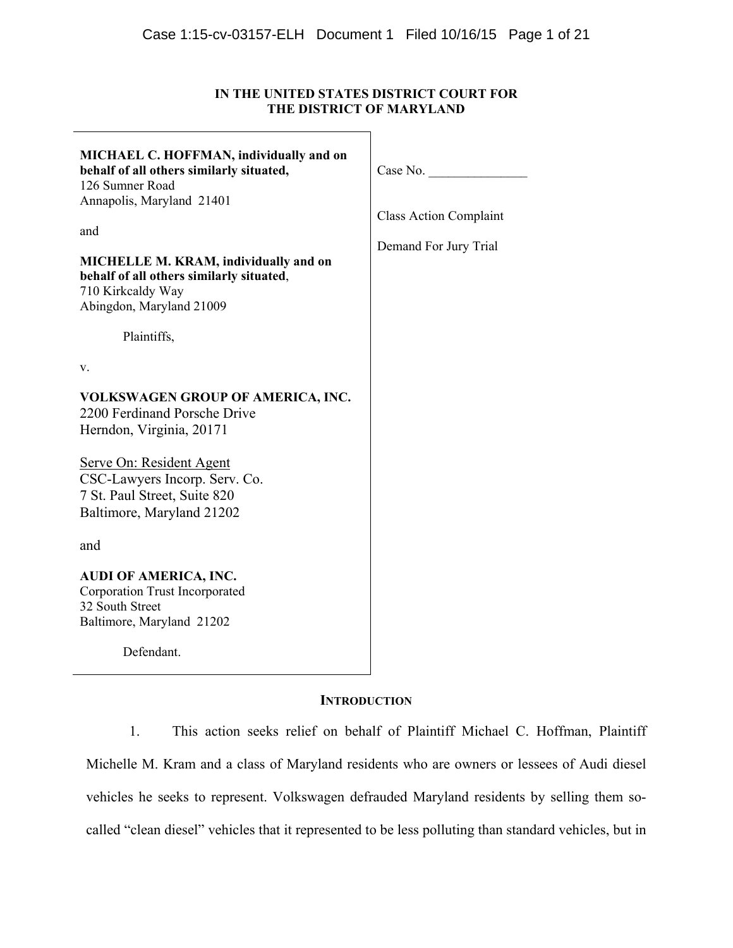#### **IN THE UNITED STATES DISTRICT COURT FOR THE DISTRICT OF MARYLAND**

┑

| <b>MICHAEL C. HOFFMAN, individually and on</b><br>behalf of all others similarly situated,<br>126 Sumner Road<br>Annapolis, Maryland 21401<br>and<br>MICHELLE M. KRAM, individually and on<br>behalf of all others similarly situated,<br>710 Kirkcaldy Way<br>Abingdon, Maryland 21009 | Case No.<br><b>Class Action Complaint</b><br>Demand For Jury Trial |
|-----------------------------------------------------------------------------------------------------------------------------------------------------------------------------------------------------------------------------------------------------------------------------------------|--------------------------------------------------------------------|
| Plaintiffs,                                                                                                                                                                                                                                                                             |                                                                    |
| V.                                                                                                                                                                                                                                                                                      |                                                                    |
| VOLKSWAGEN GROUP OF AMERICA, INC.<br>2200 Ferdinand Porsche Drive<br>Herndon, Virginia, 20171                                                                                                                                                                                           |                                                                    |
| Serve On: Resident Agent<br>CSC-Lawyers Incorp. Serv. Co.<br>7 St. Paul Street, Suite 820<br>Baltimore, Maryland 21202                                                                                                                                                                  |                                                                    |
| and                                                                                                                                                                                                                                                                                     |                                                                    |
| <b>AUDI OF AMERICA, INC.</b><br>Corporation Trust Incorporated<br>32 South Street<br>Baltimore, Maryland 21202<br>Defendant.                                                                                                                                                            |                                                                    |
|                                                                                                                                                                                                                                                                                         |                                                                    |

# **INTRODUCTION**

1. This action seeks relief on behalf of Plaintiff Michael C. Hoffman, Plaintiff Michelle M. Kram and a class of Maryland residents who are owners or lessees of Audi diesel vehicles he seeks to represent. Volkswagen defrauded Maryland residents by selling them socalled "clean diesel" vehicles that it represented to be less polluting than standard vehicles, but in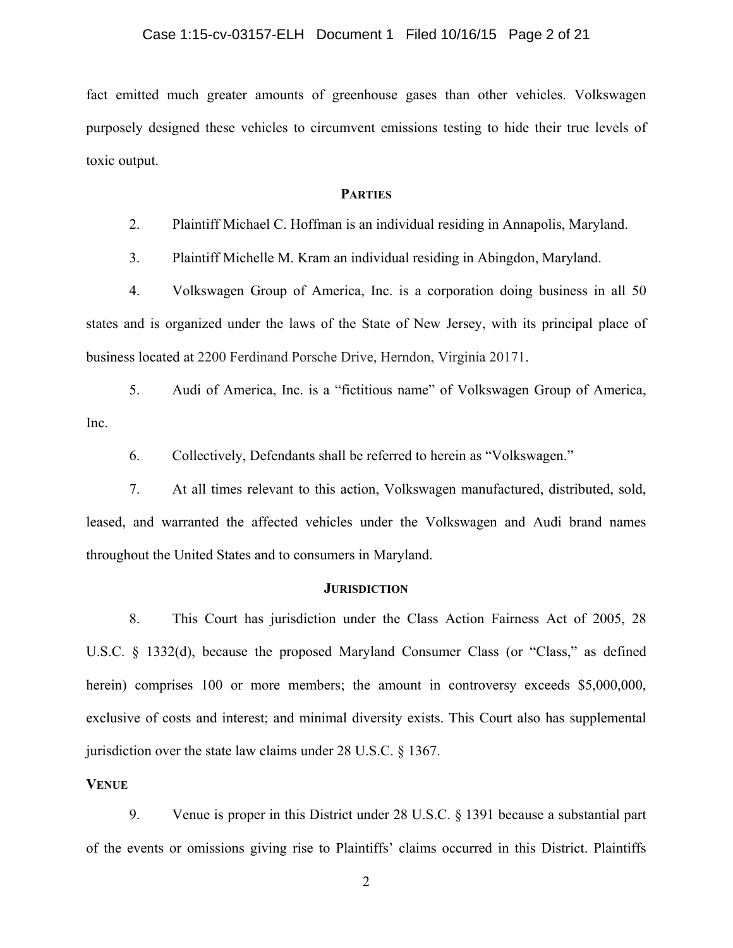fact emitted much greater amounts of greenhouse gases than other vehicles. Volkswagen purposely designed these vehicles to circumvent emissions testing to hide their true levels of toxic output.

#### **PARTIES**

2. Plaintiff Michael C. Hoffman is an individual residing in Annapolis, Maryland.

3. Plaintiff Michelle M. Kram an individual residing in Abingdon, Maryland.

4. Volkswagen Group of America, Inc. is a corporation doing business in all 50 states and is organized under the laws of the State of New Jersey, with its principal place of business located at 2200 Ferdinand Porsche Drive, Herndon, Virginia 20171.

5. Audi of America, Inc. is a "fictitious name" of Volkswagen Group of America, Inc.

6. Collectively, Defendants shall be referred to herein as "Volkswagen."

7. At all times relevant to this action, Volkswagen manufactured, distributed, sold, leased, and warranted the affected vehicles under the Volkswagen and Audi brand names throughout the United States and to consumers in Maryland.

#### **JURISDICTION**

8. This Court has jurisdiction under the Class Action Fairness Act of 2005, 28 U.S.C. § 1332(d), because the proposed Maryland Consumer Class (or "Class," as defined herein) comprises 100 or more members; the amount in controversy exceeds \$5,000,000, exclusive of costs and interest; and minimal diversity exists. This Court also has supplemental jurisdiction over the state law claims under 28 U.S.C. § 1367.

## **VENUE**

9. Venue is proper in this District under 28 U.S.C. § 1391 because a substantial part of the events or omissions giving rise to Plaintiffs' claims occurred in this District. Plaintiffs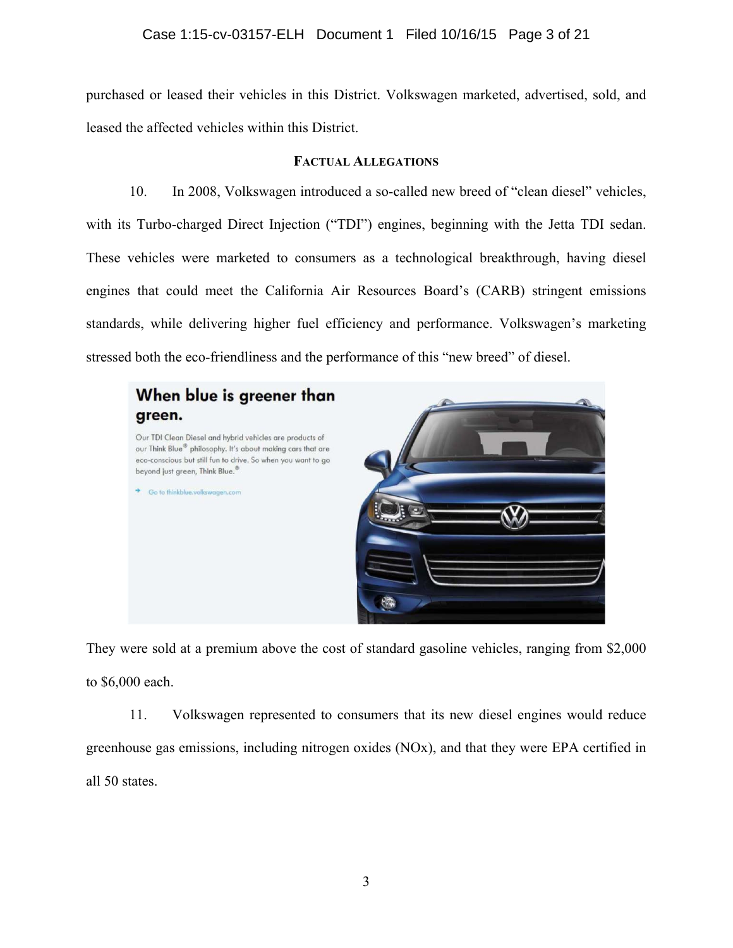### Case 1:15-cv-03157-ELH Document 1 Filed 10/16/15 Page 3 of 21

purchased or leased their vehicles in this District. Volkswagen marketed, advertised, sold, and leased the affected vehicles within this District.

#### **FACTUAL ALLEGATIONS**

10. In 2008, Volkswagen introduced a so-called new breed of "clean diesel" vehicles, with its Turbo-charged Direct Injection ("TDI") engines, beginning with the Jetta TDI sedan. These vehicles were marketed to consumers as a technological breakthrough, having diesel engines that could meet the California Air Resources Board's (CARB) stringent emissions standards, while delivering higher fuel efficiency and performance. Volkswagen's marketing stressed both the eco-friendliness and the performance of this "new breed" of diesel.



They were sold at a premium above the cost of standard gasoline vehicles, ranging from \$2,000 to \$6,000 each.

11. Volkswagen represented to consumers that its new diesel engines would reduce greenhouse gas emissions, including nitrogen oxides (NOx), and that they were EPA certified in all 50 states.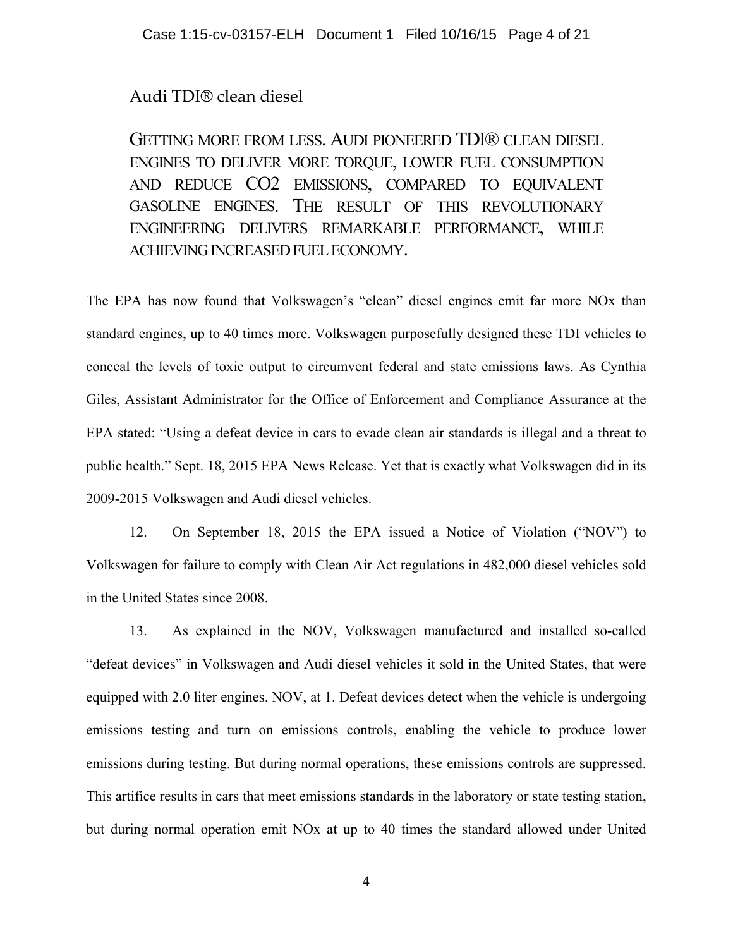# Audi TDI® clean diesel

GETTING MORE FROM LESS. AUDI PIONEERED TDI® CLEAN DIESEL ENGINES TO DELIVER MORE TORQUE, LOWER FUEL CONSUMPTION AND REDUCE CO2 EMISSIONS, COMPARED TO EQUIVALENT GASOLINE ENGINES. THE RESULT OF THIS REVOLUTIONARY ENGINEERING DELIVERS REMARKABLE PERFORMANCE, WHILE ACHIEVING INCREASED FUEL ECONOMY.

The EPA has now found that Volkswagen's "clean" diesel engines emit far more NOx than standard engines, up to 40 times more. Volkswagen purposefully designed these TDI vehicles to conceal the levels of toxic output to circumvent federal and state emissions laws. As Cynthia Giles, Assistant Administrator for the Office of Enforcement and Compliance Assurance at the EPA stated: "Using a defeat device in cars to evade clean air standards is illegal and a threat to public health." Sept. 18, 2015 EPA News Release. Yet that is exactly what Volkswagen did in its 2009-2015 Volkswagen and Audi diesel vehicles.

12. On September 18, 2015 the EPA issued a Notice of Violation ("NOV") to Volkswagen for failure to comply with Clean Air Act regulations in 482,000 diesel vehicles sold in the United States since 2008.

13. As explained in the NOV, Volkswagen manufactured and installed so-called "defeat devices" in Volkswagen and Audi diesel vehicles it sold in the United States, that were equipped with 2.0 liter engines. NOV, at 1. Defeat devices detect when the vehicle is undergoing emissions testing and turn on emissions controls, enabling the vehicle to produce lower emissions during testing. But during normal operations, these emissions controls are suppressed. This artifice results in cars that meet emissions standards in the laboratory or state testing station, but during normal operation emit NOx at up to 40 times the standard allowed under United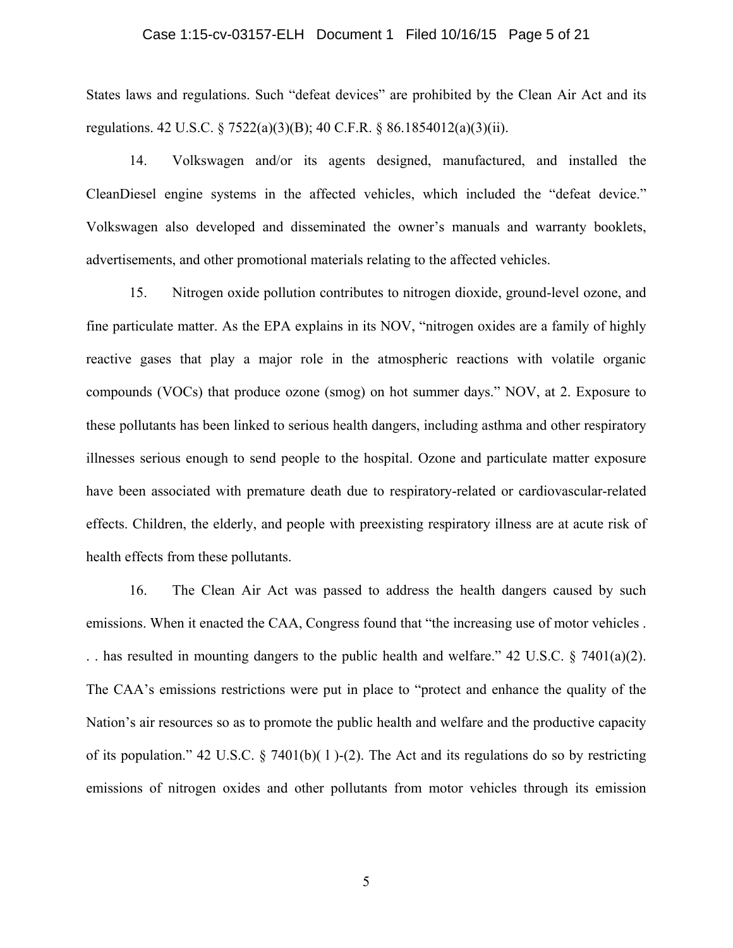#### Case 1:15-cv-03157-ELH Document 1 Filed 10/16/15 Page 5 of 21

States laws and regulations. Such "defeat devices" are prohibited by the Clean Air Act and its regulations. 42 U.S.C. § 7522(a)(3)(B); 40 C.F.R. § 86.1854012(a)(3)(ii).

14. Volkswagen and/or its agents designed, manufactured, and installed the CleanDiesel engine systems in the affected vehicles, which included the "defeat device." Volkswagen also developed and disseminated the owner's manuals and warranty booklets, advertisements, and other promotional materials relating to the affected vehicles.

15. Nitrogen oxide pollution contributes to nitrogen dioxide, ground-level ozone, and fine particulate matter. As the EPA explains in its NOV, "nitrogen oxides are a family of highly reactive gases that play a major role in the atmospheric reactions with volatile organic compounds (VOCs) that produce ozone (smog) on hot summer days." NOV, at 2. Exposure to these pollutants has been linked to serious health dangers, including asthma and other respiratory illnesses serious enough to send people to the hospital. Ozone and particulate matter exposure have been associated with premature death due to respiratory-related or cardiovascular-related effects. Children, the elderly, and people with preexisting respiratory illness are at acute risk of health effects from these pollutants.

16. The Clean Air Act was passed to address the health dangers caused by such emissions. When it enacted the CAA, Congress found that "the increasing use of motor vehicles . . . has resulted in mounting dangers to the public health and welfare." 42 U.S.C. § 7401(a)(2). The CAA's emissions restrictions were put in place to "protect and enhance the quality of the Nation's air resources so as to promote the public health and welfare and the productive capacity of its population." 42 U.S.C.  $\S$  7401(b)(1)-(2). The Act and its regulations do so by restricting emissions of nitrogen oxides and other pollutants from motor vehicles through its emission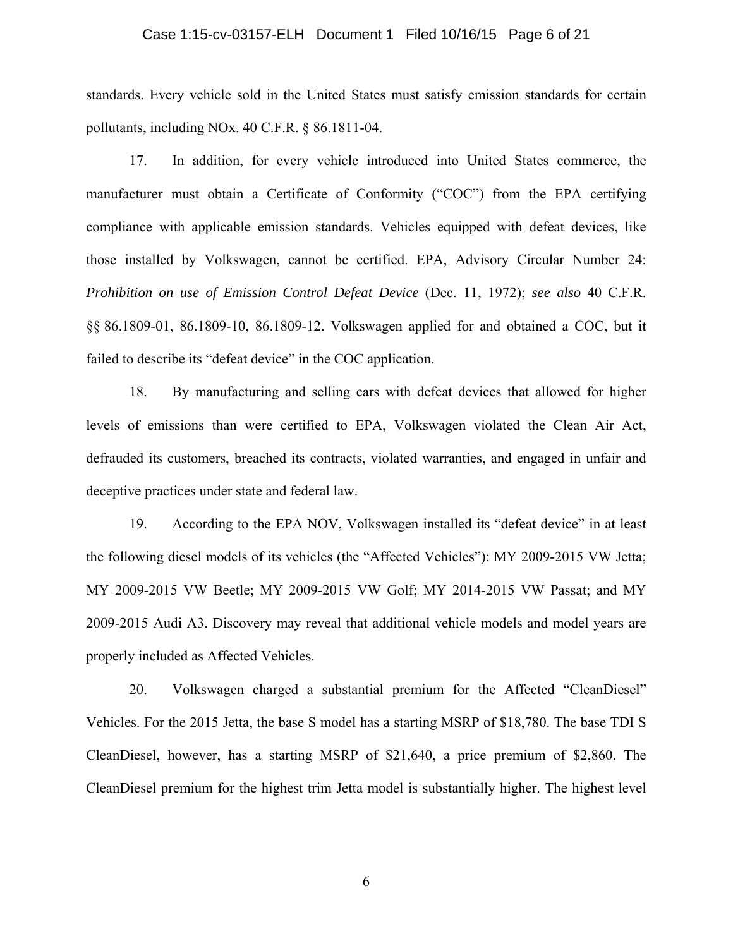#### Case 1:15-cv-03157-ELH Document 1 Filed 10/16/15 Page 6 of 21

standards. Every vehicle sold in the United States must satisfy emission standards for certain pollutants, including NOx. 40 C.F.R. § 86.1811-04.

17. In addition, for every vehicle introduced into United States commerce, the manufacturer must obtain a Certificate of Conformity ("COC") from the EPA certifying compliance with applicable emission standards. Vehicles equipped with defeat devices, like those installed by Volkswagen, cannot be certified. EPA, Advisory Circular Number 24: *Prohibition on use of Emission Control Defeat Device* (Dec. 11, 1972); *see also* 40 C.F.R. §§ 86.1809-01, 86.1809-10, 86.1809-12. Volkswagen applied for and obtained a COC, but it failed to describe its "defeat device" in the COC application.

18. By manufacturing and selling cars with defeat devices that allowed for higher levels of emissions than were certified to EPA, Volkswagen violated the Clean Air Act, defrauded its customers, breached its contracts, violated warranties, and engaged in unfair and deceptive practices under state and federal law.

19. According to the EPA NOV, Volkswagen installed its "defeat device" in at least the following diesel models of its vehicles (the "Affected Vehicles"): MY 2009-2015 VW Jetta; MY 2009-2015 VW Beetle; MY 2009-2015 VW Golf; MY 2014-2015 VW Passat; and MY 2009-2015 Audi A3. Discovery may reveal that additional vehicle models and model years are properly included as Affected Vehicles.

20. Volkswagen charged a substantial premium for the Affected "CleanDiesel" Vehicles. For the 2015 Jetta, the base S model has a starting MSRP of \$18,780. The base TDI S CleanDiesel, however, has a starting MSRP of \$21,640, a price premium of \$2,860. The CleanDiesel premium for the highest trim Jetta model is substantially higher. The highest level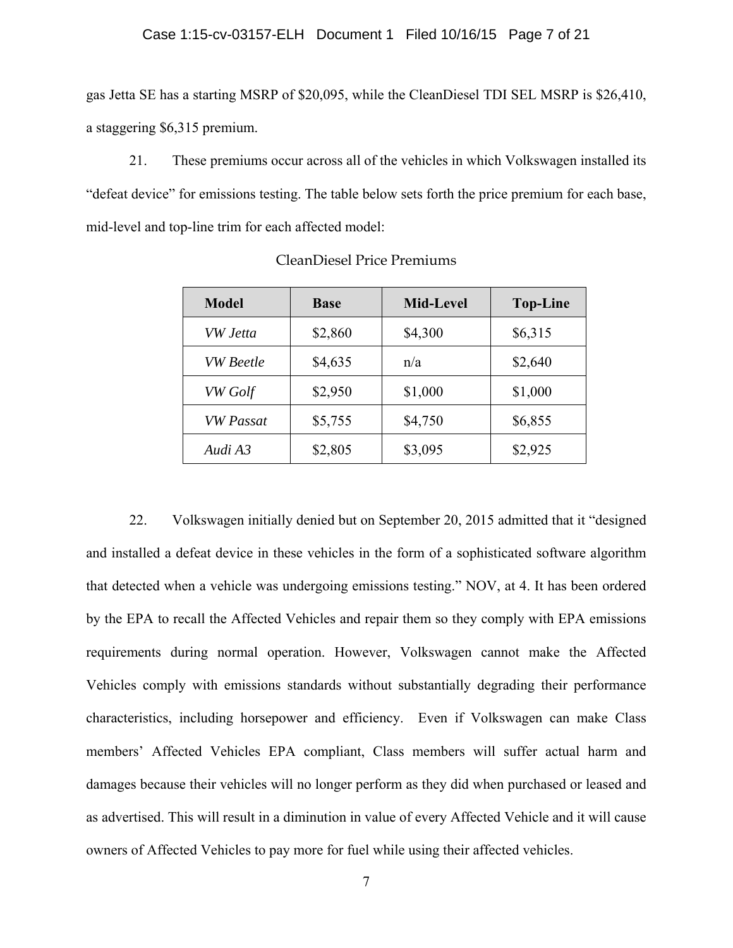gas Jetta SE has a starting MSRP of \$20,095, while the CleanDiesel TDI SEL MSRP is \$26,410, a staggering \$6,315 premium.

21. These premiums occur across all of the vehicles in which Volkswagen installed its "defeat device" for emissions testing. The table below sets forth the price premium for each base, mid-level and top-line trim for each affected model:

| <b>Model</b>     | <b>Base</b> | Mid-Level | <b>Top-Line</b> |
|------------------|-------------|-----------|-----------------|
| VW Jetta         | \$2,860     | \$4,300   | \$6,315         |
| <b>VW</b> Beetle | \$4,635     | n/a       | \$2,640         |
| VW Golf          | \$2,950     | \$1,000   | \$1,000         |
| <b>VW Passat</b> | \$5,755     | \$4,750   | \$6,855         |
| Audi A3          | \$2,805     | \$3,095   | \$2,925         |

CleanDiesel Price Premiums

22. Volkswagen initially denied but on September 20, 2015 admitted that it "designed and installed a defeat device in these vehicles in the form of a sophisticated software algorithm that detected when a vehicle was undergoing emissions testing." NOV, at 4. It has been ordered by the EPA to recall the Affected Vehicles and repair them so they comply with EPA emissions requirements during normal operation. However, Volkswagen cannot make the Affected Vehicles comply with emissions standards without substantially degrading their performance characteristics, including horsepower and efficiency. Even if Volkswagen can make Class members' Affected Vehicles EPA compliant, Class members will suffer actual harm and damages because their vehicles will no longer perform as they did when purchased or leased and as advertised. This will result in a diminution in value of every Affected Vehicle and it will cause owners of Affected Vehicles to pay more for fuel while using their affected vehicles.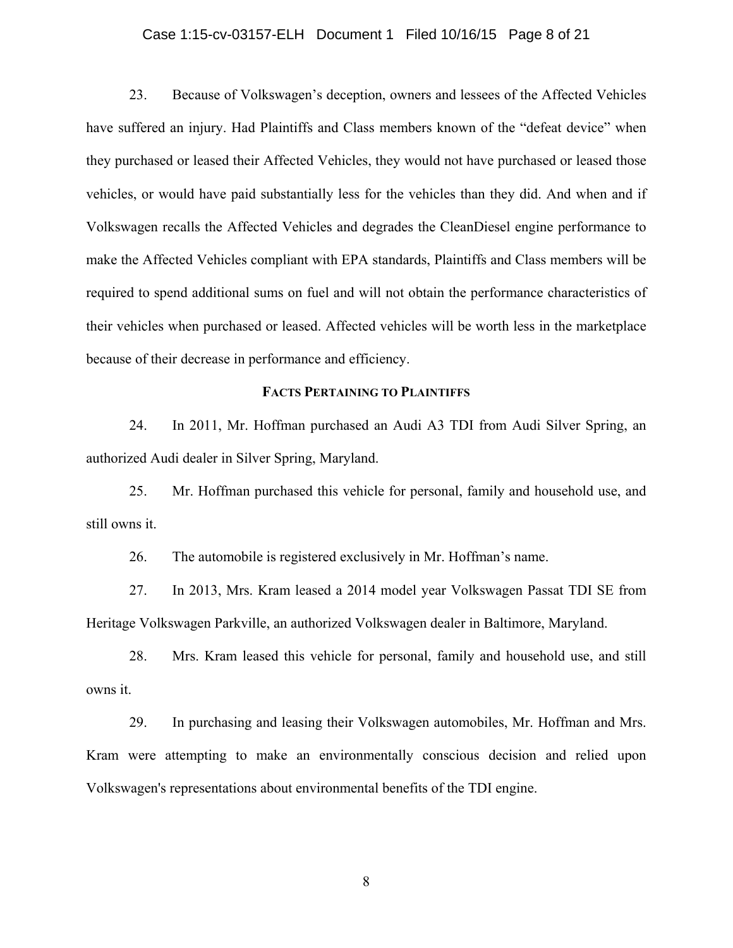#### Case 1:15-cv-03157-ELH Document 1 Filed 10/16/15 Page 8 of 21

23. Because of Volkswagen's deception, owners and lessees of the Affected Vehicles have suffered an injury. Had Plaintiffs and Class members known of the "defeat device" when they purchased or leased their Affected Vehicles, they would not have purchased or leased those vehicles, or would have paid substantially less for the vehicles than they did. And when and if Volkswagen recalls the Affected Vehicles and degrades the CleanDiesel engine performance to make the Affected Vehicles compliant with EPA standards, Plaintiffs and Class members will be required to spend additional sums on fuel and will not obtain the performance characteristics of their vehicles when purchased or leased. Affected vehicles will be worth less in the marketplace because of their decrease in performance and efficiency.

#### **FACTS PERTAINING TO PLAINTIFFS**

24. In 2011, Mr. Hoffman purchased an Audi A3 TDI from Audi Silver Spring, an authorized Audi dealer in Silver Spring, Maryland.

25. Mr. Hoffman purchased this vehicle for personal, family and household use, and still owns it.

26. The automobile is registered exclusively in Mr. Hoffman's name.

27. In 2013, Mrs. Kram leased a 2014 model year Volkswagen Passat TDI SE from Heritage Volkswagen Parkville, an authorized Volkswagen dealer in Baltimore, Maryland.

28. Mrs. Kram leased this vehicle for personal, family and household use, and still owns it.

29. In purchasing and leasing their Volkswagen automobiles, Mr. Hoffman and Mrs. Kram were attempting to make an environmentally conscious decision and relied upon Volkswagen's representations about environmental benefits of the TDI engine.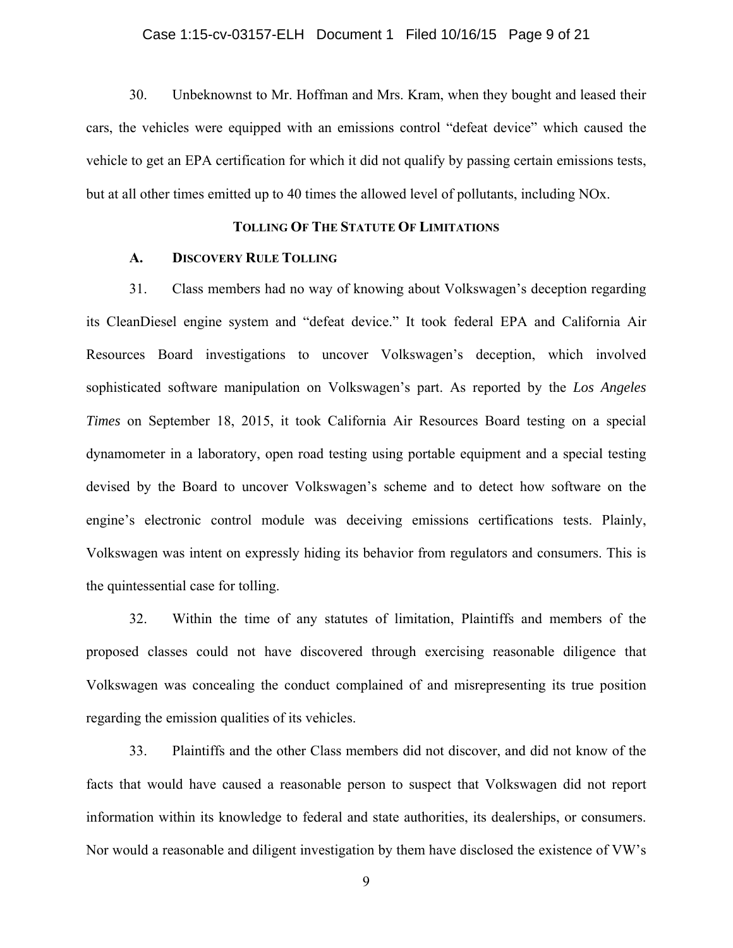#### Case 1:15-cv-03157-ELH Document 1 Filed 10/16/15 Page 9 of 21

30. Unbeknownst to Mr. Hoffman and Mrs. Kram, when they bought and leased their cars, the vehicles were equipped with an emissions control "defeat device" which caused the vehicle to get an EPA certification for which it did not qualify by passing certain emissions tests, but at all other times emitted up to 40 times the allowed level of pollutants, including NOx.

#### **TOLLING OF THE STATUTE OF LIMITATIONS**

#### **A. DISCOVERY RULE TOLLING**

31. Class members had no way of knowing about Volkswagen's deception regarding its CleanDiesel engine system and "defeat device." It took federal EPA and California Air Resources Board investigations to uncover Volkswagen's deception, which involved sophisticated software manipulation on Volkswagen's part. As reported by the *Los Angeles Times* on September 18, 2015, it took California Air Resources Board testing on a special dynamometer in a laboratory, open road testing using portable equipment and a special testing devised by the Board to uncover Volkswagen's scheme and to detect how software on the engine's electronic control module was deceiving emissions certifications tests. Plainly, Volkswagen was intent on expressly hiding its behavior from regulators and consumers. This is the quintessential case for tolling.

32. Within the time of any statutes of limitation, Plaintiffs and members of the proposed classes could not have discovered through exercising reasonable diligence that Volkswagen was concealing the conduct complained of and misrepresenting its true position regarding the emission qualities of its vehicles.

33. Plaintiffs and the other Class members did not discover, and did not know of the facts that would have caused a reasonable person to suspect that Volkswagen did not report information within its knowledge to federal and state authorities, its dealerships, or consumers. Nor would a reasonable and diligent investigation by them have disclosed the existence of VW's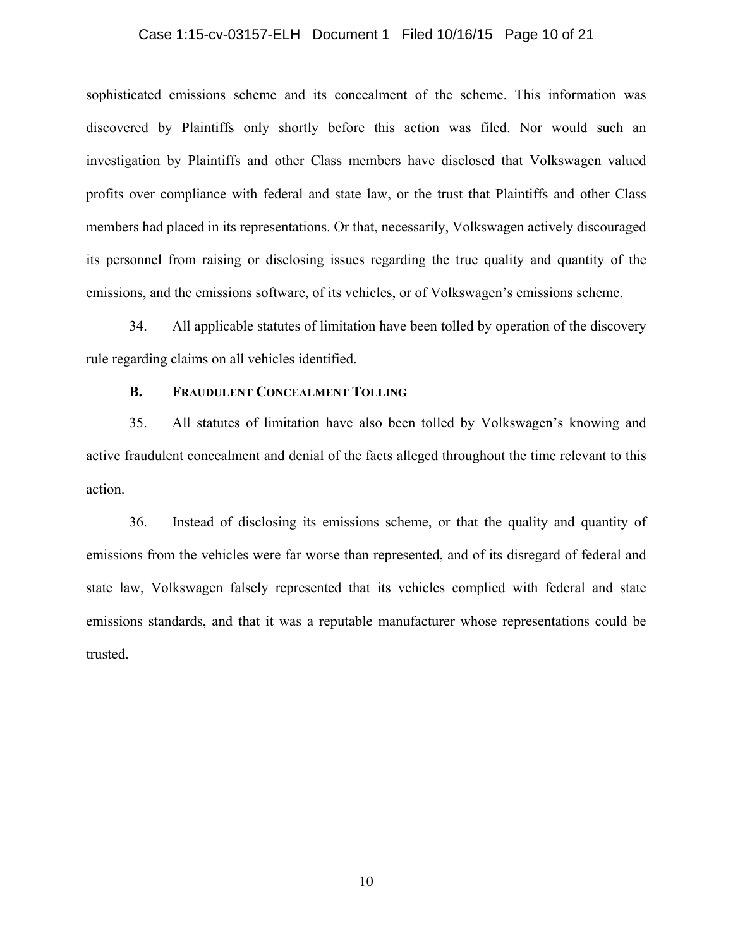# Case 1:15-cv-03157-ELH Document 1 Filed 10/16/15 Page 10 of 21

sophisticated emissions scheme and its concealment of the scheme. This information was discovered by Plaintiffs only shortly before this action was filed. Nor would such an investigation by Plaintiffs and other Class members have disclosed that Volkswagen valued profits over compliance with federal and state law, or the trust that Plaintiffs and other Class members had placed in its representations. Or that, necessarily, Volkswagen actively discouraged its personnel from raising or disclosing issues regarding the true quality and quantity of the emissions, and the emissions software, of its vehicles, or of Volkswagen's emissions scheme.

34. All applicable statutes of limitation have been tolled by operation of the discovery rule regarding claims on all vehicles identified.

# **B. FRAUDULENT CONCEALMENT TOLLING**

35. All statutes of limitation have also been tolled by Volkswagen's knowing and active fraudulent concealment and denial of the facts alleged throughout the time relevant to this action.

36. Instead of disclosing its emissions scheme, or that the quality and quantity of emissions from the vehicles were far worse than represented, and of its disregard of federal and state law, Volkswagen falsely represented that its vehicles complied with federal and state emissions standards, and that it was a reputable manufacturer whose representations could be trusted.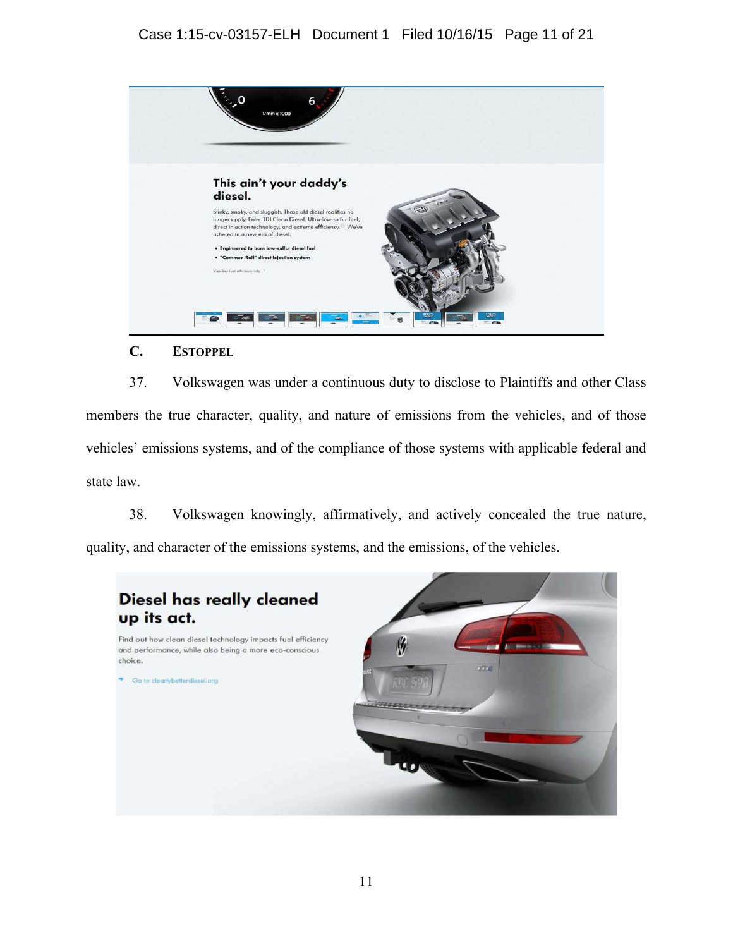

# **C. ESTOPPEL**

37. Volkswagen was under a continuous duty to disclose to Plaintiffs and other Class members the true character, quality, and nature of emissions from the vehicles, and of those vehicles' emissions systems, and of the compliance of those systems with applicable federal and state law.

38. Volkswagen knowingly, affirmatively, and actively concealed the true nature, quality, and character of the emissions systems, and the emissions, of the vehicles.

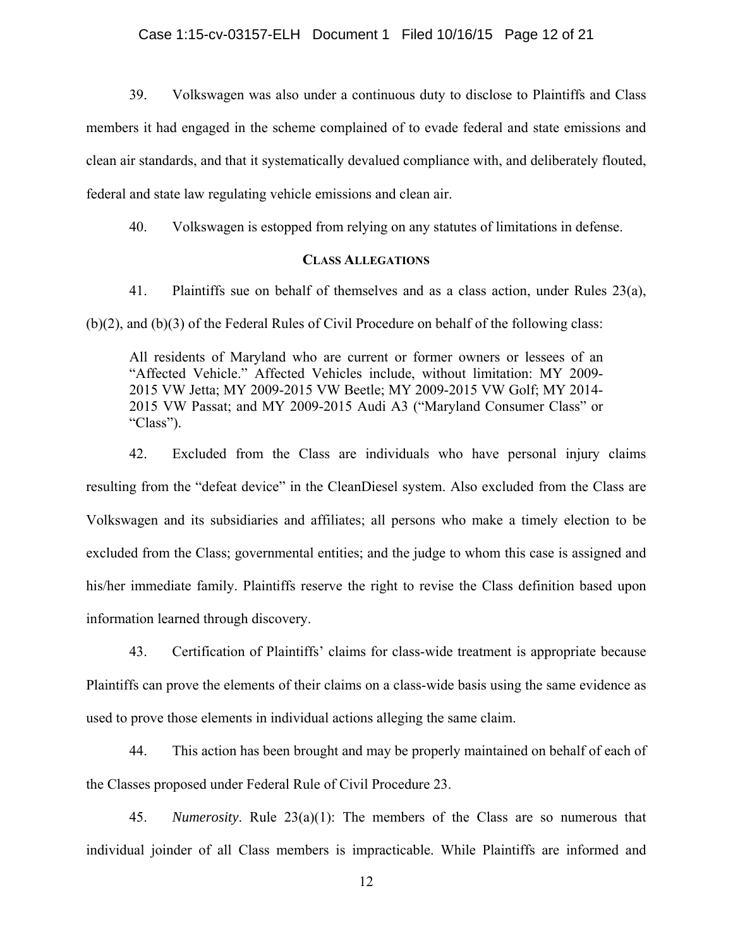39. Volkswagen was also under a continuous duty to disclose to Plaintiffs and Class members it had engaged in the scheme complained of to evade federal and state emissions and clean air standards, and that it systematically devalued compliance with, and deliberately flouted, federal and state law regulating vehicle emissions and clean air.

40. Volkswagen is estopped from relying on any statutes of limitations in defense.

#### **CLASS ALLEGATIONS**

41. Plaintiffs sue on behalf of themselves and as a class action, under Rules 23(a),

(b)(2), and (b)(3) of the Federal Rules of Civil Procedure on behalf of the following class:

All residents of Maryland who are current or former owners or lessees of an "Affected Vehicle." Affected Vehicles include, without limitation: MY 2009- 2015 VW Jetta; MY 2009-2015 VW Beetle; MY 2009-2015 VW Golf; MY 2014- 2015 VW Passat; and MY 2009-2015 Audi A3 ("Maryland Consumer Class" or "Class").

42. Excluded from the Class are individuals who have personal injury claims resulting from the "defeat device" in the CleanDiesel system. Also excluded from the Class are Volkswagen and its subsidiaries and affiliates; all persons who make a timely election to be excluded from the Class; governmental entities; and the judge to whom this case is assigned and his/her immediate family. Plaintiffs reserve the right to revise the Class definition based upon information learned through discovery.

43. Certification of Plaintiffs' claims for class-wide treatment is appropriate because Plaintiffs can prove the elements of their claims on a class-wide basis using the same evidence as used to prove those elements in individual actions alleging the same claim.

44. This action has been brought and may be properly maintained on behalf of each of the Classes proposed under Federal Rule of Civil Procedure 23.

45. *Numerosity*. Rule 23(a)(1): The members of the Class are so numerous that individual joinder of all Class members is impracticable. While Plaintiffs are informed and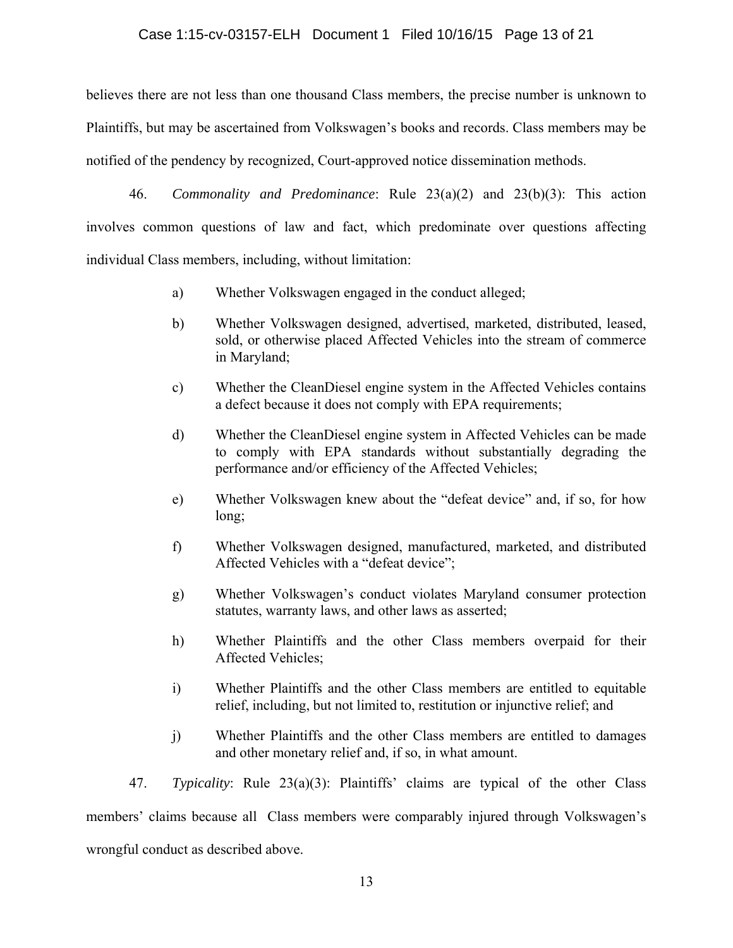#### Case 1:15-cv-03157-ELH Document 1 Filed 10/16/15 Page 13 of 21

believes there are not less than one thousand Class members, the precise number is unknown to Plaintiffs, but may be ascertained from Volkswagen's books and records. Class members may be notified of the pendency by recognized, Court-approved notice dissemination methods.

46. *Commonality and Predominance*: Rule 23(a)(2) and 23(b)(3): This action involves common questions of law and fact, which predominate over questions affecting individual Class members, including, without limitation:

- a) Whether Volkswagen engaged in the conduct alleged;
- b) Whether Volkswagen designed, advertised, marketed, distributed, leased, sold, or otherwise placed Affected Vehicles into the stream of commerce in Maryland;
- c) Whether the CleanDiesel engine system in the Affected Vehicles contains a defect because it does not comply with EPA requirements;
- d) Whether the CleanDiesel engine system in Affected Vehicles can be made to comply with EPA standards without substantially degrading the performance and/or efficiency of the Affected Vehicles;
- e) Whether Volkswagen knew about the "defeat device" and, if so, for how long;
- f) Whether Volkswagen designed, manufactured, marketed, and distributed Affected Vehicles with a "defeat device";
- g) Whether Volkswagen's conduct violates Maryland consumer protection statutes, warranty laws, and other laws as asserted;
- h) Whether Plaintiffs and the other Class members overpaid for their Affected Vehicles;
- i) Whether Plaintiffs and the other Class members are entitled to equitable relief, including, but not limited to, restitution or injunctive relief; and
- j) Whether Plaintiffs and the other Class members are entitled to damages and other monetary relief and, if so, in what amount.

47. *Typicality*: Rule 23(a)(3): Plaintiffs' claims are typical of the other Class members' claims because all Class members were comparably injured through Volkswagen's wrongful conduct as described above.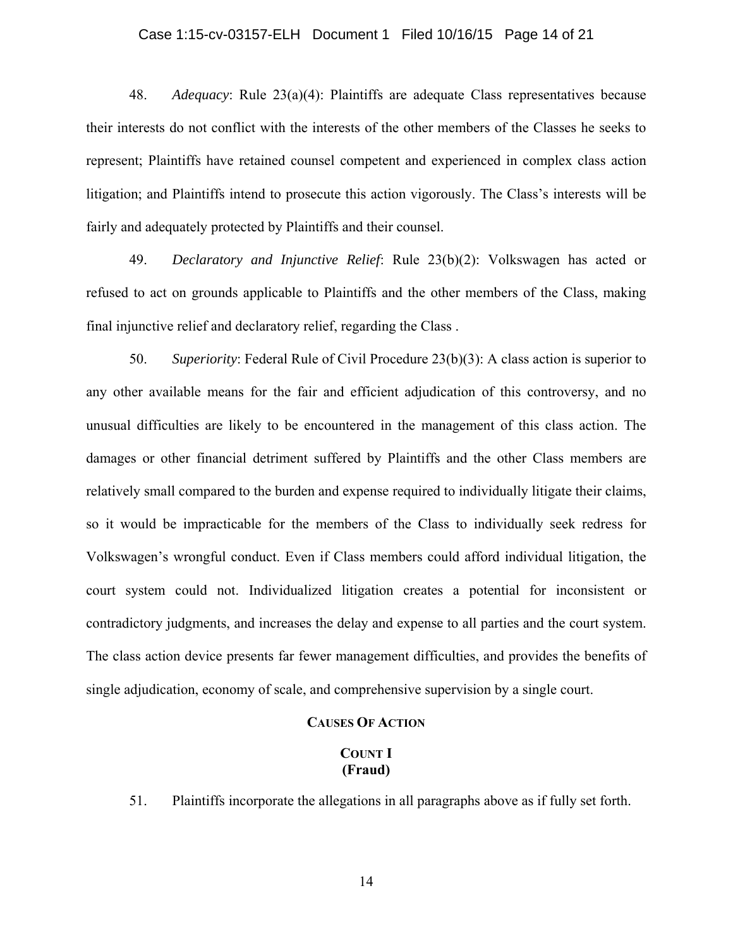#### Case 1:15-cv-03157-ELH Document 1 Filed 10/16/15 Page 14 of 21

48. *Adequacy*: Rule 23(a)(4): Plaintiffs are adequate Class representatives because their interests do not conflict with the interests of the other members of the Classes he seeks to represent; Plaintiffs have retained counsel competent and experienced in complex class action litigation; and Plaintiffs intend to prosecute this action vigorously. The Class's interests will be fairly and adequately protected by Plaintiffs and their counsel.

49. *Declaratory and Injunctive Relief*: Rule 23(b)(2): Volkswagen has acted or refused to act on grounds applicable to Plaintiffs and the other members of the Class, making final injunctive relief and declaratory relief, regarding the Class .

50. *Superiority*: Federal Rule of Civil Procedure 23(b)(3): A class action is superior to any other available means for the fair and efficient adjudication of this controversy, and no unusual difficulties are likely to be encountered in the management of this class action. The damages or other financial detriment suffered by Plaintiffs and the other Class members are relatively small compared to the burden and expense required to individually litigate their claims, so it would be impracticable for the members of the Class to individually seek redress for Volkswagen's wrongful conduct. Even if Class members could afford individual litigation, the court system could not. Individualized litigation creates a potential for inconsistent or contradictory judgments, and increases the delay and expense to all parties and the court system. The class action device presents far fewer management difficulties, and provides the benefits of single adjudication, economy of scale, and comprehensive supervision by a single court.

#### **CAUSES OF ACTION**

# **COUNT I (Fraud)**

51. Plaintiffs incorporate the allegations in all paragraphs above as if fully set forth.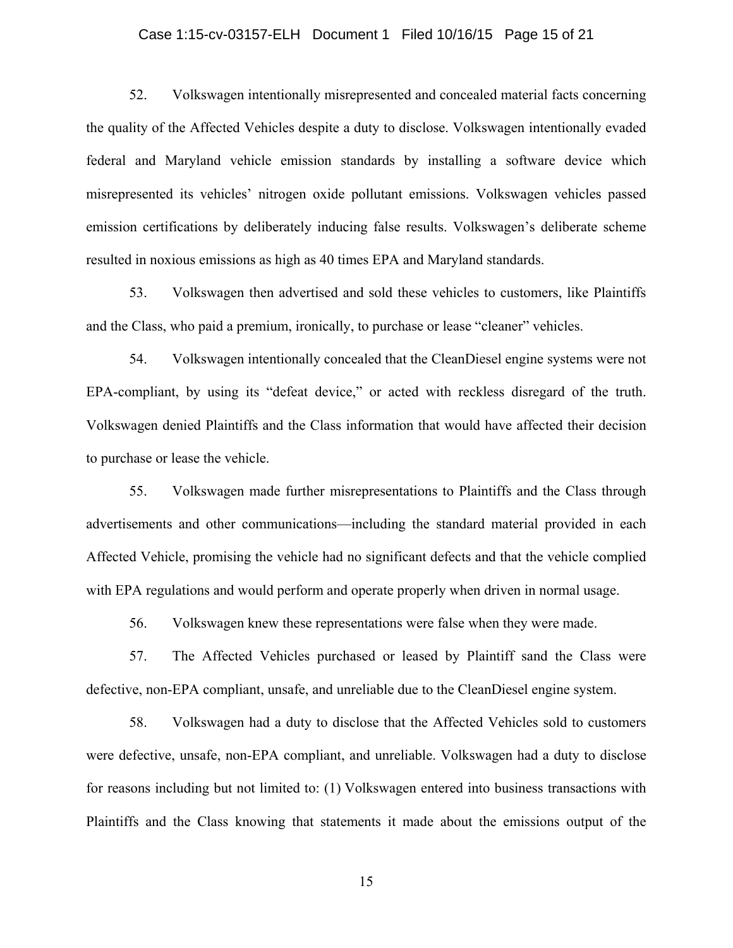#### Case 1:15-cv-03157-ELH Document 1 Filed 10/16/15 Page 15 of 21

52. Volkswagen intentionally misrepresented and concealed material facts concerning the quality of the Affected Vehicles despite a duty to disclose. Volkswagen intentionally evaded federal and Maryland vehicle emission standards by installing a software device which misrepresented its vehicles' nitrogen oxide pollutant emissions. Volkswagen vehicles passed emission certifications by deliberately inducing false results. Volkswagen's deliberate scheme resulted in noxious emissions as high as 40 times EPA and Maryland standards.

53. Volkswagen then advertised and sold these vehicles to customers, like Plaintiffs and the Class, who paid a premium, ironically, to purchase or lease "cleaner" vehicles.

54. Volkswagen intentionally concealed that the CleanDiesel engine systems were not EPA-compliant, by using its "defeat device," or acted with reckless disregard of the truth. Volkswagen denied Plaintiffs and the Class information that would have affected their decision to purchase or lease the vehicle.

55. Volkswagen made further misrepresentations to Plaintiffs and the Class through advertisements and other communications—including the standard material provided in each Affected Vehicle, promising the vehicle had no significant defects and that the vehicle complied with EPA regulations and would perform and operate properly when driven in normal usage.

56. Volkswagen knew these representations were false when they were made.

57. The Affected Vehicles purchased or leased by Plaintiff sand the Class were defective, non-EPA compliant, unsafe, and unreliable due to the CleanDiesel engine system.

58. Volkswagen had a duty to disclose that the Affected Vehicles sold to customers were defective, unsafe, non-EPA compliant, and unreliable. Volkswagen had a duty to disclose for reasons including but not limited to: (1) Volkswagen entered into business transactions with Plaintiffs and the Class knowing that statements it made about the emissions output of the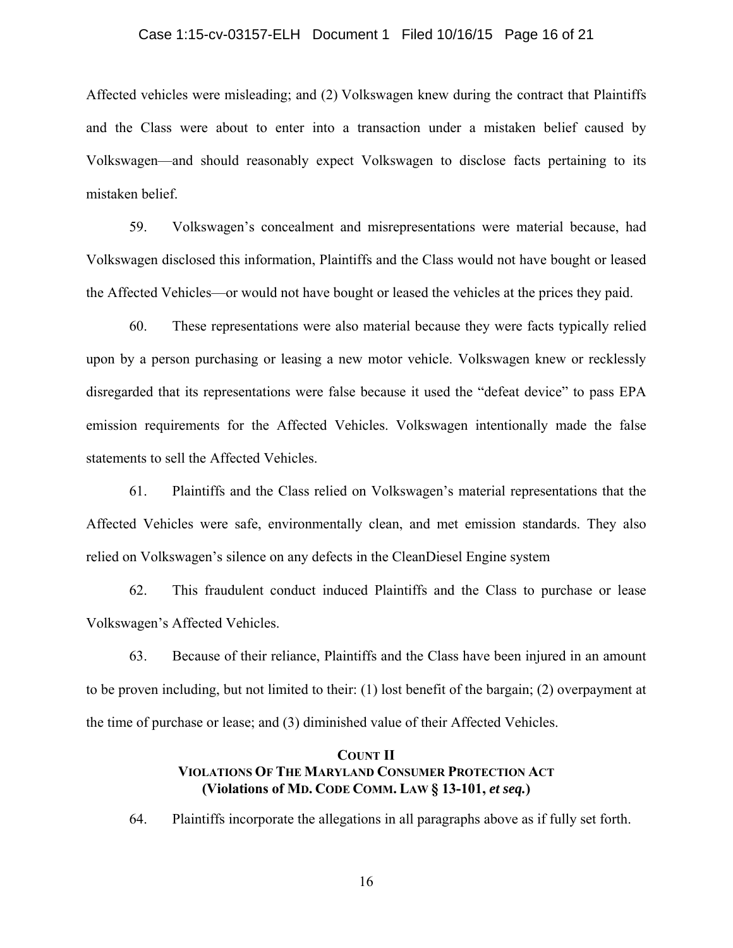#### Case 1:15-cv-03157-ELH Document 1 Filed 10/16/15 Page 16 of 21

Affected vehicles were misleading; and (2) Volkswagen knew during the contract that Plaintiffs and the Class were about to enter into a transaction under a mistaken belief caused by Volkswagen—and should reasonably expect Volkswagen to disclose facts pertaining to its mistaken belief.

59. Volkswagen's concealment and misrepresentations were material because, had Volkswagen disclosed this information, Plaintiffs and the Class would not have bought or leased the Affected Vehicles—or would not have bought or leased the vehicles at the prices they paid.

60. These representations were also material because they were facts typically relied upon by a person purchasing or leasing a new motor vehicle. Volkswagen knew or recklessly disregarded that its representations were false because it used the "defeat device" to pass EPA emission requirements for the Affected Vehicles. Volkswagen intentionally made the false statements to sell the Affected Vehicles.

61. Plaintiffs and the Class relied on Volkswagen's material representations that the Affected Vehicles were safe, environmentally clean, and met emission standards. They also relied on Volkswagen's silence on any defects in the CleanDiesel Engine system

62. This fraudulent conduct induced Plaintiffs and the Class to purchase or lease Volkswagen's Affected Vehicles.

63. Because of their reliance, Plaintiffs and the Class have been injured in an amount to be proven including, but not limited to their: (1) lost benefit of the bargain; (2) overpayment at the time of purchase or lease; and (3) diminished value of their Affected Vehicles.

# **COUNT II VIOLATIONS OF THE MARYLAND CONSUMER PROTECTION ACT (Violations of MD. CODE COMM. LAW § 13-101,** *et seq.***)**

64. Plaintiffs incorporate the allegations in all paragraphs above as if fully set forth.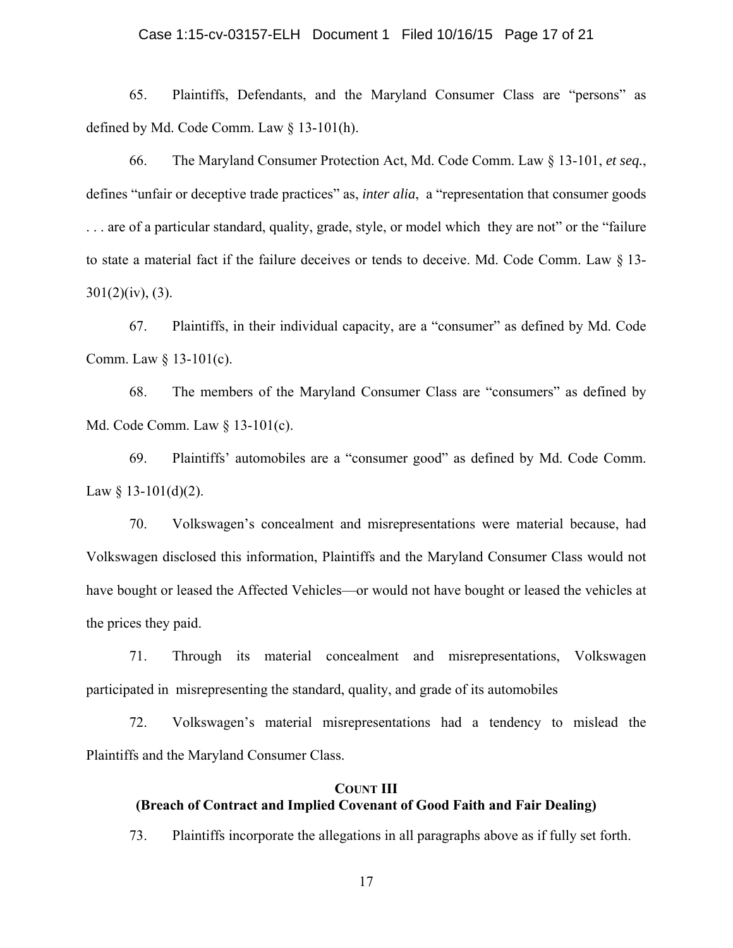#### Case 1:15-cv-03157-ELH Document 1 Filed 10/16/15 Page 17 of 21

65. Plaintiffs, Defendants, and the Maryland Consumer Class are "persons" as defined by Md. Code Comm. Law § 13-101(h).

66. The Maryland Consumer Protection Act, Md. Code Comm. Law § 13-101, *et seq.*, defines "unfair or deceptive trade practices" as, *inter alia*, a "representation that consumer goods . . . are of a particular standard, quality, grade, style, or model which they are not" or the "failure to state a material fact if the failure deceives or tends to deceive. Md. Code Comm. Law  $\S$  13- $301(2)(iv)$ , (3).

67. Plaintiffs, in their individual capacity, are a "consumer" as defined by Md. Code Comm. Law  $\S$  13-101(c).

68. The members of the Maryland Consumer Class are "consumers" as defined by Md. Code Comm. Law § 13-101(c).

69. Plaintiffs' automobiles are a "consumer good" as defined by Md. Code Comm. Law  $§$  13-101(d)(2).

70. Volkswagen's concealment and misrepresentations were material because, had Volkswagen disclosed this information, Plaintiffs and the Maryland Consumer Class would not have bought or leased the Affected Vehicles—or would not have bought or leased the vehicles at the prices they paid.

71. Through its material concealment and misrepresentations, Volkswagen participated in misrepresenting the standard, quality, and grade of its automobiles

72. Volkswagen's material misrepresentations had a tendency to mislead the Plaintiffs and the Maryland Consumer Class.

## **COUNT III (Breach of Contract and Implied Covenant of Good Faith and Fair Dealing)**

73. Plaintiffs incorporate the allegations in all paragraphs above as if fully set forth.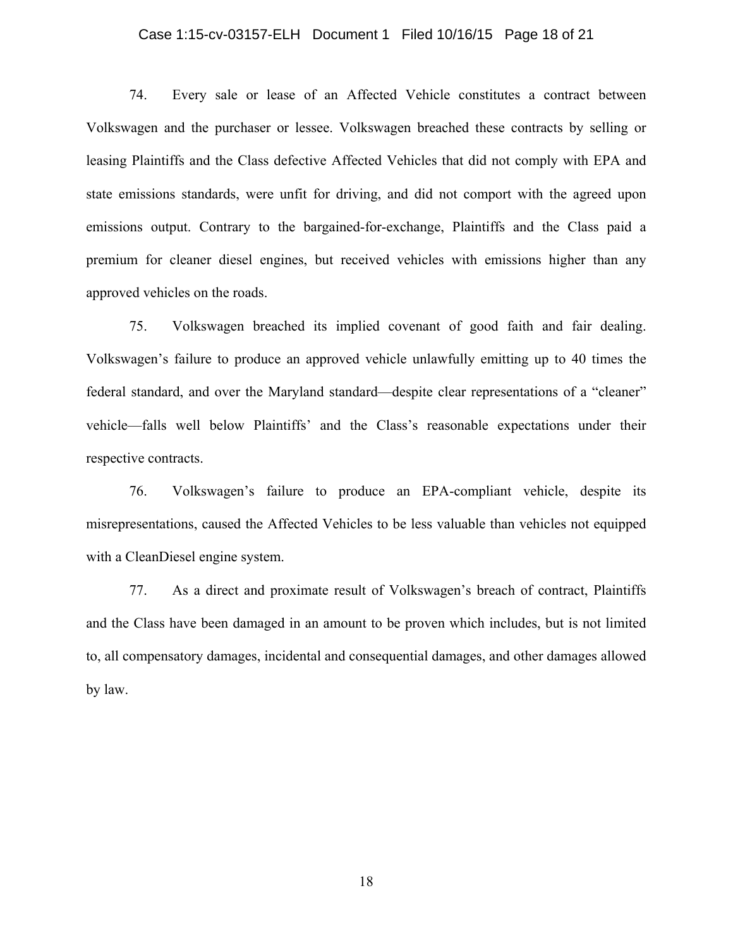#### Case 1:15-cv-03157-ELH Document 1 Filed 10/16/15 Page 18 of 21

74. Every sale or lease of an Affected Vehicle constitutes a contract between Volkswagen and the purchaser or lessee. Volkswagen breached these contracts by selling or leasing Plaintiffs and the Class defective Affected Vehicles that did not comply with EPA and state emissions standards, were unfit for driving, and did not comport with the agreed upon emissions output. Contrary to the bargained-for-exchange, Plaintiffs and the Class paid a premium for cleaner diesel engines, but received vehicles with emissions higher than any approved vehicles on the roads.

75. Volkswagen breached its implied covenant of good faith and fair dealing. Volkswagen's failure to produce an approved vehicle unlawfully emitting up to 40 times the federal standard, and over the Maryland standard—despite clear representations of a "cleaner" vehicle—falls well below Plaintiffs' and the Class's reasonable expectations under their respective contracts.

76. Volkswagen's failure to produce an EPA-compliant vehicle, despite its misrepresentations, caused the Affected Vehicles to be less valuable than vehicles not equipped with a CleanDiesel engine system.

77. As a direct and proximate result of Volkswagen's breach of contract, Plaintiffs and the Class have been damaged in an amount to be proven which includes, but is not limited to, all compensatory damages, incidental and consequential damages, and other damages allowed by law.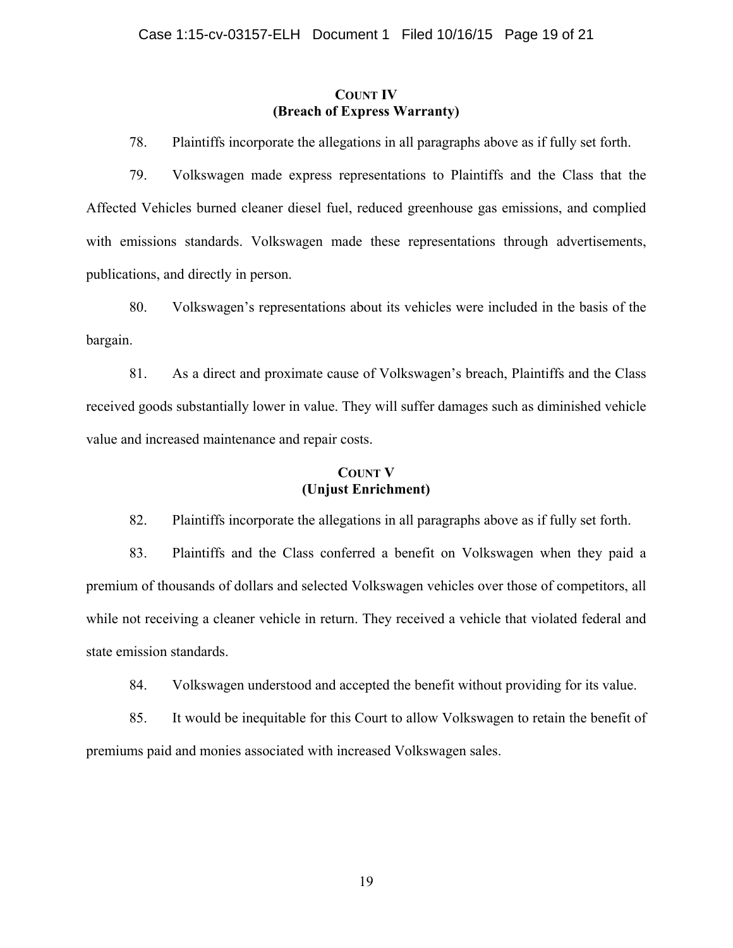## **COUNT IV (Breach of Express Warranty)**

78. Plaintiffs incorporate the allegations in all paragraphs above as if fully set forth.

79. Volkswagen made express representations to Plaintiffs and the Class that the Affected Vehicles burned cleaner diesel fuel, reduced greenhouse gas emissions, and complied with emissions standards. Volkswagen made these representations through advertisements, publications, and directly in person.

80. Volkswagen's representations about its vehicles were included in the basis of the bargain.

81. As a direct and proximate cause of Volkswagen's breach, Plaintiffs and the Class received goods substantially lower in value. They will suffer damages such as diminished vehicle value and increased maintenance and repair costs.

# **COUNT V (Unjust Enrichment)**

82. Plaintiffs incorporate the allegations in all paragraphs above as if fully set forth.

83. Plaintiffs and the Class conferred a benefit on Volkswagen when they paid a premium of thousands of dollars and selected Volkswagen vehicles over those of competitors, all while not receiving a cleaner vehicle in return. They received a vehicle that violated federal and state emission standards.

84. Volkswagen understood and accepted the benefit without providing for its value.

85. It would be inequitable for this Court to allow Volkswagen to retain the benefit of premiums paid and monies associated with increased Volkswagen sales.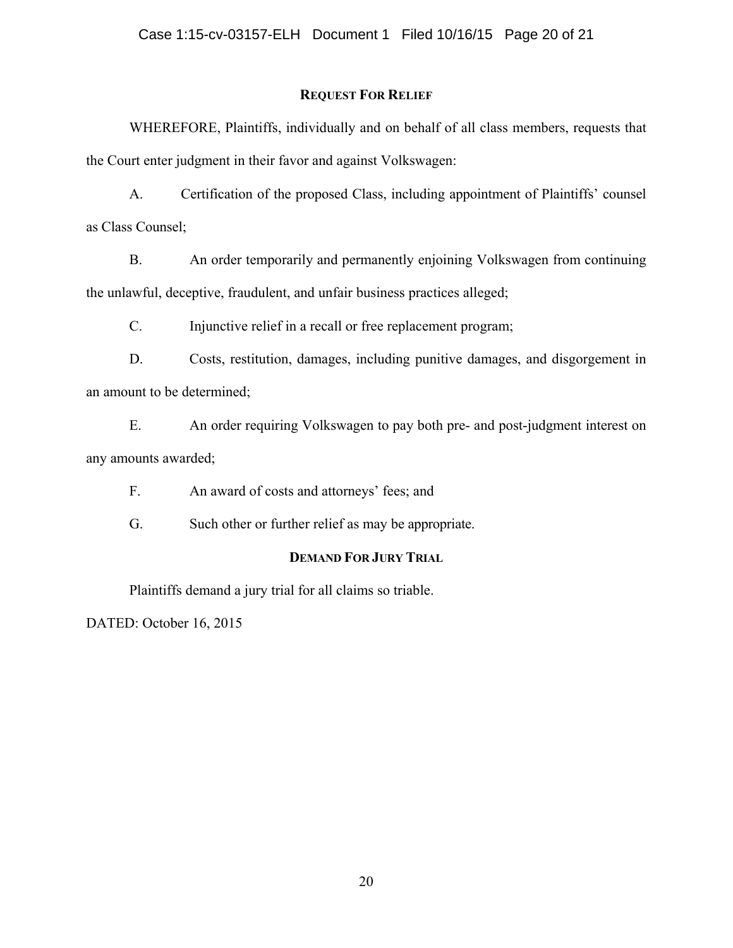#### **REQUEST FOR RELIEF**

WHEREFORE, Plaintiffs, individually and on behalf of all class members, requests that the Court enter judgment in their favor and against Volkswagen:

A. Certification of the proposed Class, including appointment of Plaintiffs' counsel as Class Counsel;

B. An order temporarily and permanently enjoining Volkswagen from continuing the unlawful, deceptive, fraudulent, and unfair business practices alleged;

C. Injunctive relief in a recall or free replacement program;

D. Costs, restitution, damages, including punitive damages, and disgorgement in an amount to be determined;

E. An order requiring Volkswagen to pay both pre- and post-judgment interest on any amounts awarded;

F. An award of costs and attorneys' fees; and

G. Such other or further relief as may be appropriate.

## **DEMAND FOR JURY TRIAL**

Plaintiffs demand a jury trial for all claims so triable.

DATED: October 16, 2015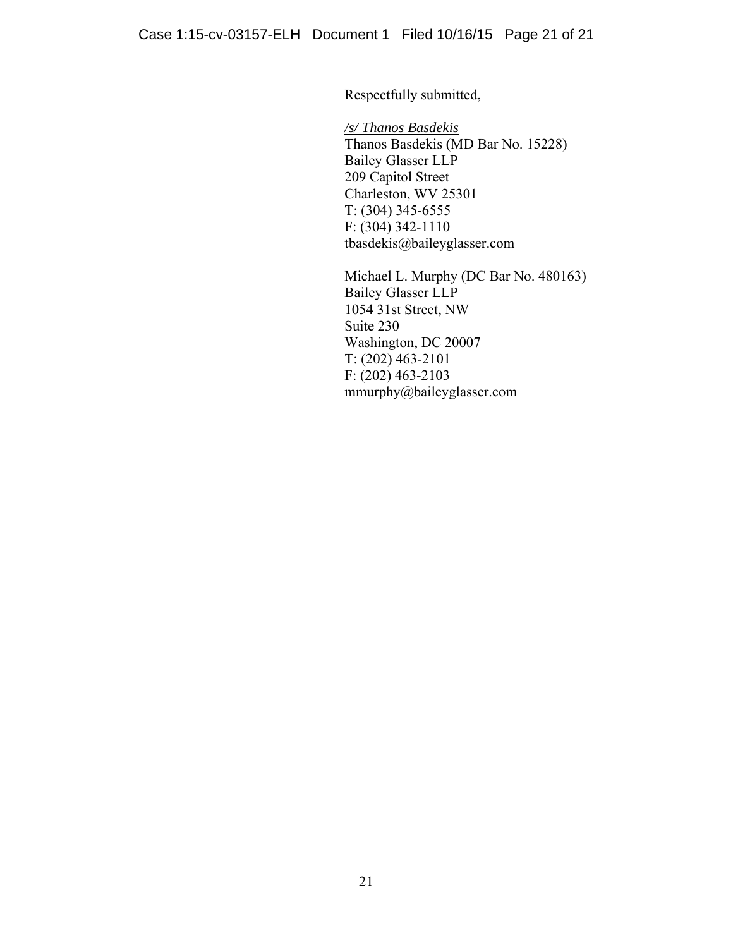Respectfully submitted,

*/s/ Thanos Basdekis*  Thanos Basdekis (MD Bar No. 15228) Bailey Glasser LLP 209 Capitol Street Charleston, WV 25301 T: (304) 345-6555 F: (304) 342-1110 tbasdekis@baileyglasser.com

Michael L. Murphy (DC Bar No. 480163) Bailey Glasser LLP 1054 31st Street, NW Suite 230 Washington, DC 20007 T: (202) 463-2101 F: (202) 463-2103 mmurphy@baileyglasser.com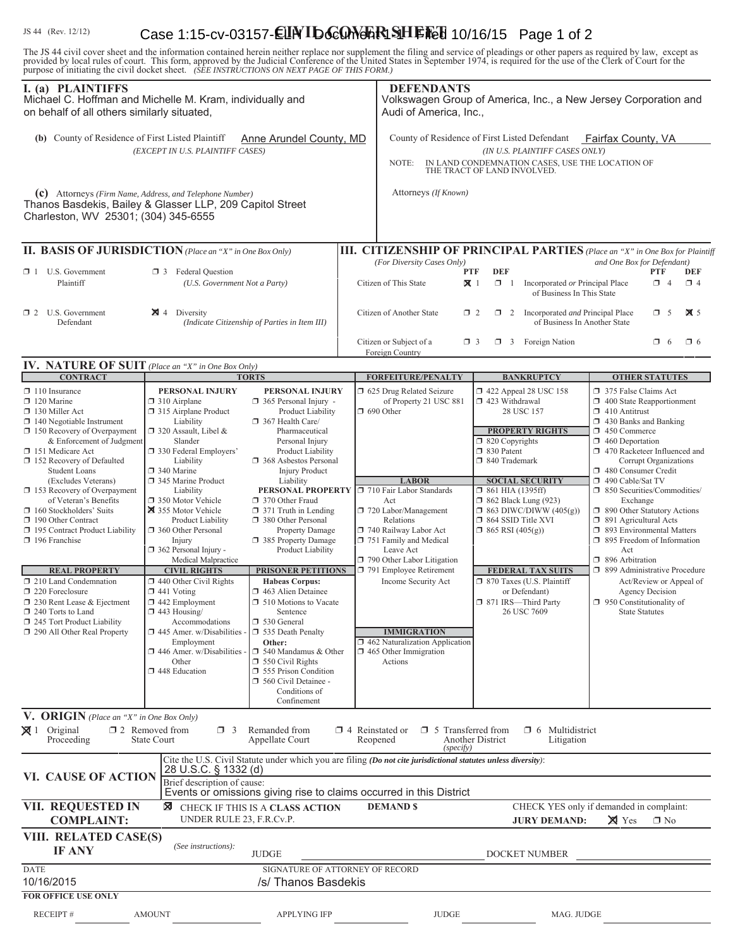# IS 44 (Rev. 12/12) Case 1:15-cv-03157-**ELIWID COMERRISHETED 10/16/15** Page 1 of 2

The JS 44 civil cover sheet and the information contained herein neither replace nor supplement the filing and service of pleadings or other papers as required by law, except as provided by local rules of court. This form, **I. (a) PLAINTIFFS DEFENDANTS** (b) County of Residence of First Listed Plaintiff Anne Arundel County, MD County of Residence of First Listed Defendant *(EXCEPT IN U.S. PLAINTIFF CASES) (IN U.S. PLAINTIFF CASES ONLY)* NOTE: IN LAND CONDEMNATION CASES, USE THE LOCATION OF THE TRACT OF LAND INVOLVED. **(c)** \$WWRUQH\V*(Firm Name, Address, and Telephone Number)* \$WWRUQH\V*(If Known)* **III. CITIZENSHIP OF PRINCIPAL PARTIES** (Place an "X" in One Box for Plaintiff<sup></sup><br>*(For Diversity Cases Only)* and One Box for Defendant) *(For Diversity Cases One Box for Defendant)* **PTF DEF 1** U.S. Government **1** 3 Federal Question **1 1 1 1 1 1 1 PTF DEF PTF DEF PTF DEF** Plaintiff *(U.S. Government Not a Party)* Citizen of This State **X** 1 □ 1 Incorporated or Principal Place □ 4 □ 4 of Business In This State **□** 2 U.S. Government **≥ 3** 4 Diversity (Indicate Citizenship of Parties in Item III) Citizen of Another State **□** 2 □ 2 Incorporated and Principal Place □ 5 **≥ 5** 3 5 × 5 Defendant (Indicate Citizenship of Parties in Item III) Citizen or Subject of a  $\Box$  3  $\Box$  3 Foreign Nation  $\Box$  6  $\Box$  6  $\Box$  6 Foreign Country **IV. NATURE OF SUIT** *(Place an "X" in One Box Only)* **CONTRACT TORTS FORFEITURE/PENALTY BANKRUPTCY CONTRACT STATUTES □** 110 Insurance **PERSONAL INJURY PERSONAL INJURY D** 625 Drug Related Seizure **D** 422 Appeal 28 USC 158 **D** 375 False Claims Act **D** 120 Marine **D** 310 Airplane **D** 365 Personal Injury - of Property 21 USC 881 **D** 42 <table>\n<tbody>\n<tr>\n<th>□ 120 Marine</th>\n<th>□ 310 Airplane</th>\n<th>□ 365 Personal Injury</th>\n<th>□ 365 Personal Injury</th>\n<th>□ 690 Other</th>\n<th>□ 423 Virtual<br/>28 USC 157</th>\n<th>□ 400 State Reapportionment<br/>28 UC 157</th>\n</tr>\n<tr>\n<td>□ 410 Antitrust</td>\n<td>□ 410 Antitrust</td>\n</tr>\n</tbody>\n</table>  $\begin{array}{ccc}\n\Box\n\end{array}$  315 Airplane Product  $\begin{array}{ccc}\n\Box\n\end{array}$  367 Health Care/ $\begin{array}{ccc}\n\Box\n\end{array}$  40 Other  $\begin{array}{ccc}\n\Box\n\end{array}$  28 USC 157  $\begin{array}{ccc}\n\Box\n\end{array}$  410 Antitrust <table>\n<tbody>\n<tr>\n<td>□ 140 Negotiable Instrument</td>\n<td>Liability</td>\n<td>□ 367 Health Care/</td>\n</tr>\n<tr>\n<td>□ 150 Recovery of Overpayment</td>\n<td>□ 320 Assault, Libel &amp; Pharmacetical</td>\n<td>□ 450 Commerce</td>\n</tr>\n</tbody>\n</table> <table>\n<tbody>\n<tr>\n<th>□ 150 Recovery of Overpayment</th>\n<th>□ 320 Assault, Libel &amp; 20</th>\n</tr>\n<tr>\n<td>&amp; Enforcement of Judement</td>\n<td>SIander</td>\n<td>Personal Iniury</td>\n</tr>\n</tbody>\n</table>\n<p>Personal Iniury</p>\n<p>□ 820 Convrichts</p>\n<p>□ 460 Denotation</p> & Enforcement of Judgment Slander Personal Injury contact the CIRCO opyrights COD 320 Copyrights <table>\n<tbody>\n<tr>\n<td>□ 151 Medianed</td>\n<td>□ 330 Federal Emplovers'</td>\n<td>Product Liability</td>\n<td>□ 368 Absestos Personal</td>\n<td>□ 830 Patent</td>\n<td>□ 470 Racketeer Influenced and<br/>Corupt Organizations</td>\n</tr>\n<tr>\n<td>□ 152 Recovery of Defaulted</td>\n<td>□ 470 Racketeer Influenced and<br/>Corrupt Organizations</td>\n</tr>\n</tbody>\n</table>  $\overline{1}$  152 Recovery of Defaulted Liability<br>Student Loans  $\overline{2}$  340 Marine Student Loans  $\Box$  340 Marine 340 Marine 340 Marine 340 Marine 340 Marine 345 Marine 345 Marine 345 Marine 345 Marine 345 Marine 345 Marine 345 Marine 345 Marine 345 Marine 345 Marine 345 Marine 345 Marine 345 Marine 345 <table>\n<tbody>\n<tr>\n<td>□ 345 Marine Product</td>\n<td>Liability</td>\n<td>LABOR</td>\n<td>SOCIAL SECURITY</td>\n</tr>\n<tr>\n<td>Liability</td>\n<td>PERSONAL PROPERTY</td>\n<td>□ 710 Fair Laboratory</td>\n<td>□ 861 HHA (1395ff)</td>\n</tr>\n</tbody>\n</table> u 5HFRYHU\RI2YHUSD\PHQW /LDELOLW\ **PERSONAL PROPERTY** u )DLU/DERU6WDQGDUGV u +,\$II u 6HFXULWLHV&RPPRGLWLHV of Veteran's Benefits <br>
Stockholders' Suits Motor Vehicle → 370 Other Fraud Act Act David Management D 862 Black Lung (923)  $\Box$  160 Stockholders' Suits **M** 355 Motor Vehicle  $\Box$  371 Truth in Lending  $\Box$  720 Labor/Management  $\Box$  863 DIWC/DIWW (405(g))  $\Box$  890 Other Statutory Actions □ 190 Other Contract 200 Product Liability □ 380 Other Personal Relations □ 864 SSID Title XVI □ 891 Agricultural Acts  $\Box$  195 Contract Product Liability  $\Box$  360 Other Personal Property Damage  $\Box$  740 Railway Labor Act  $\Box$  865 RSI (405(g))  $\Box$  893 Environmental Matters u )UDQFKLVH ,QMXU\ u 3URSHUW\'DPDJH u )DPLO\DQG0HGLFDO u )UHHGRPRI,QIRUPDWLRQ <table>\n<tbody>\n<tr>\n<td>□ 362 Personal Injury</td>\n<td>Product Liability</td>\n<td>Leave Act</td>\n<td>□ 790 Other Labor Litigation</td>\n<td>□ 362 Personal Injury</td>\n<td>Act</td>\n</tr>\n<tr>\n<td>Medical Malpractic</td>\n<td>□ 396 Arbitration</td>\n<td>□ 790 Other Labor Litigation</td>\n<td>□ 896 Arbitration</td>\n</tr>\n</tbody>\n</table> □ 790 Other Labor Litigation<br>□ 791 Employee Retirement FEDERAL TAX SUITS **REAL PROPERTY** CIVIL RIGHTS PRISONER PETITIONS **D** 791 Employee Retirement **FEDERAL TAX SUITS** D 899 Administrative Procedure <table>\n<tbody>\n<tr>\n<th>□ 210 Land Condefinition</th>\n<th>□ 440 Other Civil Rights</th>\n<th>Habesa Corpus:</th>\n<th>Income Security Act</th>\n<th>□ 870 Taxes (U.S. Plainitff<br/>or Defendant)</th>\n<th>Act/Review or Appcal of<br/>or Defendant)</th>\n</tr>\n<tr>\n<td>□ 220 Foreclosure</td>\n<td>Aenery Decision</td>\n</tr>\n</tbody>\n</table> <table>\n<tbody>\n<tr>\n<th>□ 441 Voting</th>\n<th>□ 463 Alien Detanee</th>\n<th>or Defendant</th>\n<th>Agency Decision</th>\n</tr>\n<tr>\n<td>□ 442 Embloyment</td>\n<td>□ 510 Motions to Vacate</td>\n<td>□ 871 IRS—Third Party</td>\n<td>□ 950 Constitutionality of</td>\n</tr>\n</tbody>\n</table>  $\Box$  230 Rent Lease & Ejectment  $\Box$  442 Employment  $\Box$  510 Motions to Vacate u 7RUWVWR/DQG u +RXVLQJ 6HQWHQFH 86& 6WDWH6WDWXWHV  $\Box$  245 Tort Product Liability<br> $\Box$  290 All Other Real Property  $\Box$  445 Amer. w/Disabilities -  $\Box$  535 Death Penalty **1** 290 All Other Real Property **1** 445 Amer. w/Disabilities **1** 535 Death Penalty **IMMIGRATION** Employment **Other: Other: Other:**  $\boxed{ }$  462 Naturalization Application Amer. w/Disabilities -  $\boxed{ }$  540 Mandamus & Other  $\boxed{ }$  465 Other Immigration  $\Box$  446 Amer. w/Disabilities Other  $\overline{a}$  550 Civil Rights Actions<br>  $\overline{a}$  448 Education  $\overline{a}$  555 Prison Condition  $\Box$  555 Prison Condition  $\Box$  560 Civil Detainee -Conditions of Confinement **V. ORIGIN** *(Place an "X" in One Box Only)*  $\boxtimes$  1 Original Proceeding  $\Box$  2 Removed from **State Court**  $\Box$  3 Remanded from Appellate Court  $\Box$  4 Reinstated or Reopened  $\Box$  5 Transferred from Another District *(specify)*  $\Box$  6 Multidistrict Litigation **VI. CAUSE OF ACTION** Cite the U.S. Civil Statute under which you are filing (Do not cite jurisdictional statutes unless diversity): Brief description of cause: **VII. REQUESTED IN COMPLAINT: Z** CHECK IF THIS IS A CLASS ACTION UNDER RULE 23, F.R.Cv.P. **DEMAND \$** CHECK YES only if demanded in complaint: **JURY DEMAND: X** Yes  $\Box$  No **VIII. RELATED CASE(S) IF ANY** *(See instructions):* JUDGE DOCKET NUMBER DATE SIGNATURE OF ATTORNEY OF RECORD Michael C. Hoffman and Michelle M. Kram, individually and on behalf of all others similarly situated, Anne Arundel County, MD Thanos Basdekis, Bailey & Glasser LLP, 209 Capitol Street Charleston, WV 25301; (304) 345-6555 Volkswagen Group of America, Inc., a New Jersey Corporation and Audi of America, Inc., Fairfax County, VA 28 U.S.C. § 1332 (d) Events or omissions giving rise to claims occurred in this District

| 10/16/2015                 |        | / Thanos Basdekis<br>/s/ |              |            |  |
|----------------------------|--------|--------------------------|--------------|------------|--|
| <b>FOR OFFICE USE ONLY</b> |        |                          |              |            |  |
| <b>RECEIPT#</b>            | AMOUNT | APPLYING IFP             | <b>IUDGE</b> | MAG. JUDGE |  |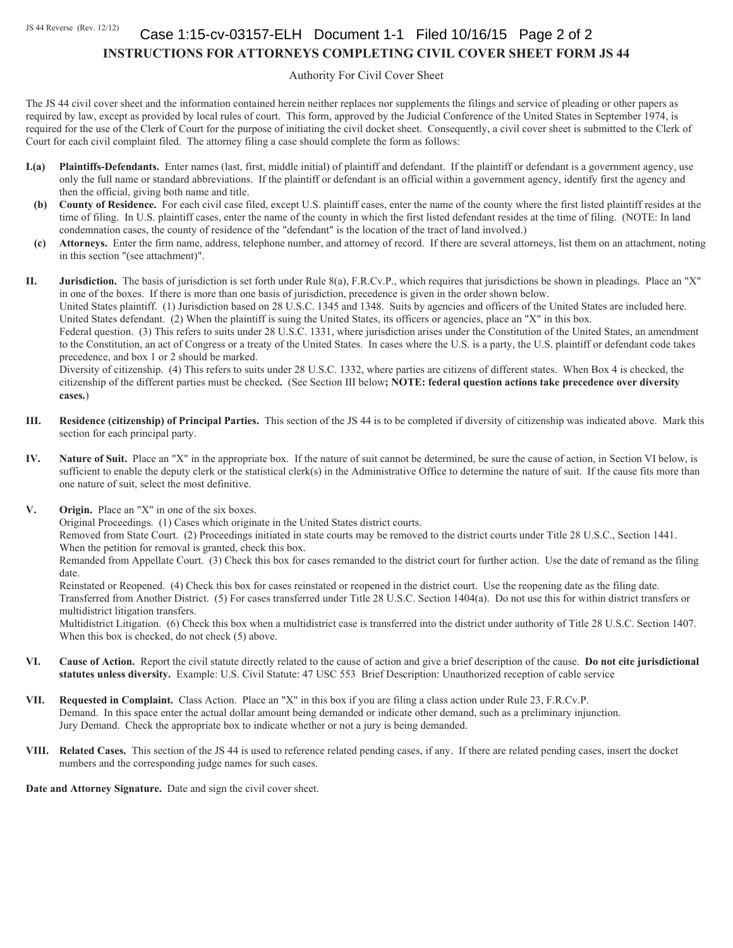# **INSTRUCTIONS FOR ATTORNEYS COMPLETING CIVIL COVER SHEET FORM JS 44** Case 1:15-cv-03157-ELH Document 1-1 Filed 10/16/15 Page 2 of 2

#### Authority For Civil Cover Sheet

The JS 44 civil cover sheet and the information contained herein neither replaces nor supplements the filings and service of pleading or other papers as required by law, except as provided by local rules of court. This form, approved by the Judicial Conference of the United States in September 1974, is required for the use of the Clerk of Court for the purpose of initiating the civil docket sheet. Consequently, a civil cover sheet is submitted to the Clerk of Court for each civil complaint filed. The attorney filing a case should complete the form as follows:

- **I.(a)** Plaintiffs-Defendants. Enter names (last, first, middle initial) of plaintiff and defendant. If the plaintiff or defendant is a government agency, use only the full name or standard abbreviations. If the plaintiff or defendant is an official within a government agency, identify first the agency and then the official, giving both name and title.
- (b) County of Residence. For each civil case filed, except U.S. plaintiff cases, enter the name of the county where the first listed plaintiff resides at the time of filing. In U.S. plaintiff cases, enter the name of the county in which the first listed defendant resides at the time of filing. (NOTE: In land condemnation cases, the county of residence of the "defendant" is the location of the tract of land involved.)
- (c) Attorneys. Enter the firm name, address, telephone number, and attorney of record. If there are several attorneys, list them on an attachment, noting in this section "(see attachment)".

**II.** Jurisdiction. The basis of jurisdiction is set forth under Rule 8(a), F.R.Cv.P., which requires that jurisdictions be shown in pleadings. Place an "X" in one of the boxes. If there is more than one basis of jurisdiction, precedence is given in the order shown below. United States plaintiff. (1) Jurisdiction based on 28 U.S.C. 1345 and 1348. Suits by agencies and officers of the United States are included here. United States defendant. (2) When the plaintiff is suing the United States, its officers or agencies, place an "X" in this box. Federal question. (3) This refers to suits under 28 U.S.C. 1331, where jurisdiction arises under the Constitution of the United States, an amendment

to the Constitution, an act of Congress or a treaty of the United States. In cases where the U.S. is a party, the U.S. plaintiff or defendant code takes precedence, and box 1 or 2 should be marked.

Diversity of citizenship. (4) This refers to suits under 28 U.S.C. 1332, where parties are citizens of different states. When Box 4 is checked, the citizenship of the different parties must be checked. (See Section III below; NOTE: federal question actions take precedence over diversity **cases.** 

- **III.** Residence (citizenship) of Principal Parties. This section of the JS 44 is to be completed if diversity of citizenship was indicated above. Mark this section for each principal party.
- **IV.** Nature of Suit. Place an "X" in the appropriate box. If the nature of suit cannot be determined, be sure the cause of action, in Section VI below, is sufficient to enable the deputy clerk or the statistical clerk(s) in the Administrative Office to determine the nature of suit. If the cause fits more than one nature of suit, select the most definitive.
- **V.** Origin. Place an "X" in one of the six boxes.

Original Proceedings. (1) Cases which originate in the United States district courts.

Removed from State Court. (2) Proceedings initiated in state courts may be removed to the district courts under Title 28 U.S.C., Section 1441. When the petition for removal is granted, check this box.

Remanded from Appellate Court. (3) Check this box for cases remanded to the district court for further action. Use the date of remand as the filing date

Reinstated or Reopened. (4) Check this box for cases reinstated or reopened in the district court. Use the reopening date as the filing date. Transferred from Another District. (5) For cases transferred under Title 28 U.S.C. Section 1404(a). Do not use this for within district transfers or multidistrict litigation transfers.

Multidistrict Litigation. (6) Check this box when a multidistrict case is transferred into the district under authority of Title 28 U.S.C. Section 1407. When this box is checked, do not check  $(5)$  above.

- VI. Cause of Action. Report the civil statute directly related to the cause of action and give a brief description of the cause. Do not cite jurisdictional statutes unless diversity. Example: U.S. Civil Statute: 47 USC 553 Brief Description: Unauthorized reception of cable service
- **VII.** Requested in Complaint. Class Action. Place an "X" in this box if you are filing a class action under Rule 23, F.R.Cv.P. Demand. In this space enter the actual dollar amount being demanded or indicate other demand, such as a preliminary injunction. Jury Demand. Check the appropriate box to indicate whether or not a jury is being demanded.
- VIII. Related Cases. This section of the JS 44 is used to reference related pending cases, if any. If there are related pending cases, insert the docket numbers and the corresponding judge names for such cases.

Date and Attorney Signature. Date and sign the civil cover sheet.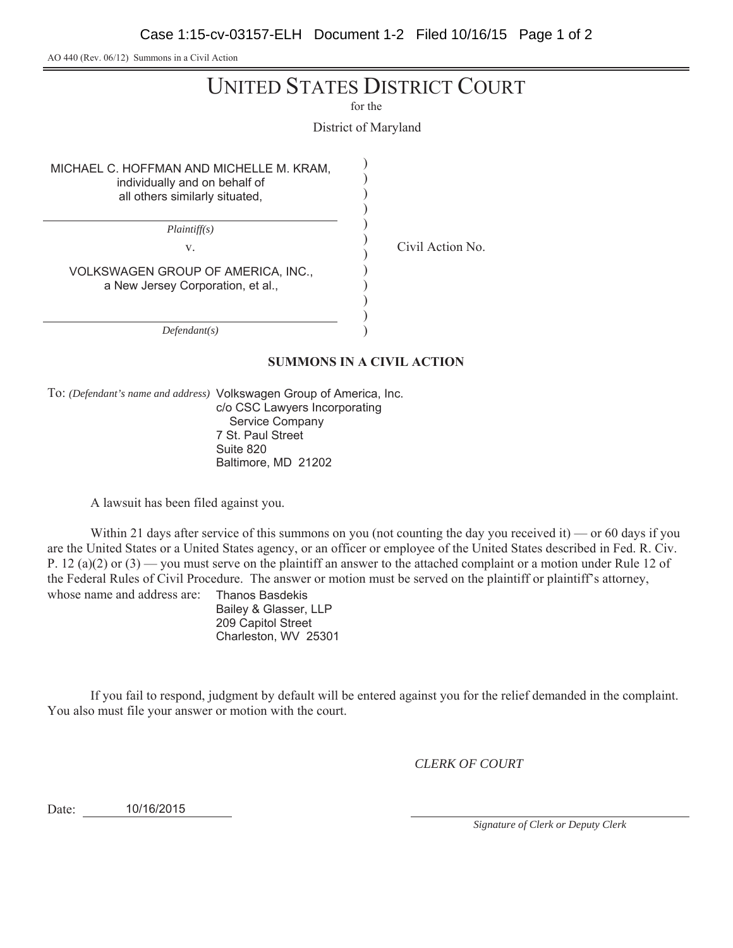Case 1:15-cv-03157-ELH Document 1-2 Filed 10/16/15 Page 1 of 2

AO 440 (Rev. 06/12) Summons in a Civil Action

# UNITED STATES DISTRICT COURT

for the

District of Maryland

) ) ) ) ) ) ) ) ) ) ) )

MICHAEL C. HOFFMAN AND MICHELLE M. KRAM, individually and on behalf of all others similarly situated,

*Plaintiff(s)*

VOLKSWAGEN GROUP OF AMERICA, INC., a New Jersey Corporation, et al.,

*Defendant(s)*

#### **SUMMONS IN A CIVIL ACTION**

To: *(Defendant's name and address)* Volkswagen Group of America, Inc. c/o CSC Lawyers Incorporating Service Company 7 St. Paul Street Suite 820

A lawsuit has been filed against you.

Within 21 days after service of this summons on you (not counting the day you received it) — or 60 days if you are the United States or a United States agency, or an officer or employee of the United States described in Fed. R. Civ. P. 12 (a)(2) or  $(3)$  — you must serve on the plaintiff an answer to the attached complaint or a motion under Rule 12 of the Federal Rules of Civil Procedure. The answer or motion must be served on the plaintiff or plaintiff's attorney, whose name and address are: Thanos Basdekis

Bailey & Glasser, LLP 209 Capitol Street Charleston, WV 25301

Baltimore, MD 21202

If you fail to respond, judgment by default will be entered against you for the relief demanded in the complaint. You also must file your answer or motion with the court.

*CLERK OF COURT*

Date: 10/16/2015

*Signature of Clerk or Deputy Clerk*

v. Civil Action No.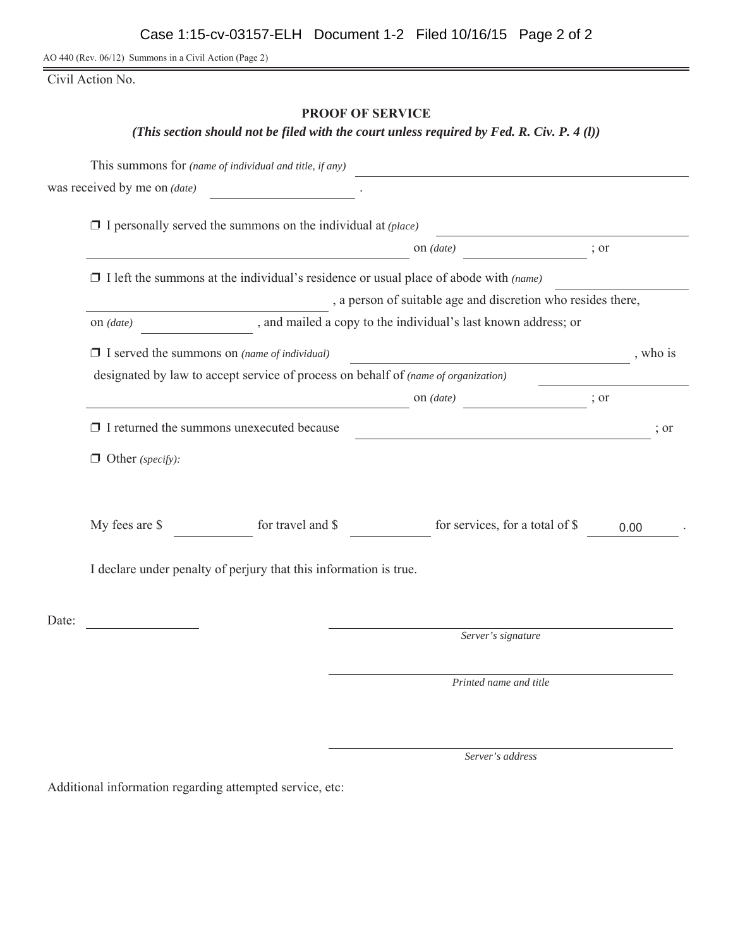| Case 1:15-cv-03157-ELH  Document 1-2  Filed 10/16/15  Page 2 of 2 |  |  |  |
|-------------------------------------------------------------------|--|--|--|
|-------------------------------------------------------------------|--|--|--|

AO 440 (Rev. 06/12) Summons in a Civil Action (Page 2)

Civil Action No.

# **PROOF OF SERVICE**

*(This section should not be filed with the court unless required by Fed. R. Civ. P. 4 (l))*

|       |                                                     | This summons for (name of individual and title, if any)                                     |                                                                                                                      |          |
|-------|-----------------------------------------------------|---------------------------------------------------------------------------------------------|----------------------------------------------------------------------------------------------------------------------|----------|
|       | was received by me on <i>(date)</i>                 |                                                                                             |                                                                                                                      |          |
|       |                                                     | $\Box$ I personally served the summons on the individual at (place)                         |                                                                                                                      |          |
|       |                                                     |                                                                                             | on $(data)$                                                                                                          | ; or     |
|       |                                                     | $\Box$ I left the summons at the individual's residence or usual place of abode with (name) |                                                                                                                      |          |
|       |                                                     |                                                                                             | , a person of suitable age and discretion who resides there,                                                         |          |
|       | on $(data)$                                         |                                                                                             | , and mailed a copy to the individual's last known address; or                                                       |          |
|       | $\Box$ I served the summons on (name of individual) |                                                                                             | <u> 1980 - Johann Barn, mars ann an t-Amhain Aonaich an t-Aonaich an t-Aonaich ann an t-Aonaich ann an t-Aonaich</u> | , who is |
|       |                                                     | designated by law to accept service of process on behalf of (name of organization)          |                                                                                                                      |          |
|       |                                                     |                                                                                             | on $(data)$                                                                                                          | ; or     |
|       |                                                     | $\Box$ I returned the summons unexecuted because                                            | <u> 1980 - Johann Barbara, martin amerikan basal da</u>                                                              | ; or     |
|       | $\Box$ Other (specify):                             |                                                                                             |                                                                                                                      |          |
|       | My fees are \$                                      | for travel and \$                                                                           | for services, for a total of \$                                                                                      | 0.00     |
|       |                                                     | I declare under penalty of perjury that this information is true.                           |                                                                                                                      |          |
| Date: |                                                     |                                                                                             |                                                                                                                      |          |
|       |                                                     |                                                                                             | Server's signature                                                                                                   |          |
|       |                                                     |                                                                                             | Printed name and title                                                                                               |          |

*Server's address*

Additional information regarding attempted service, etc: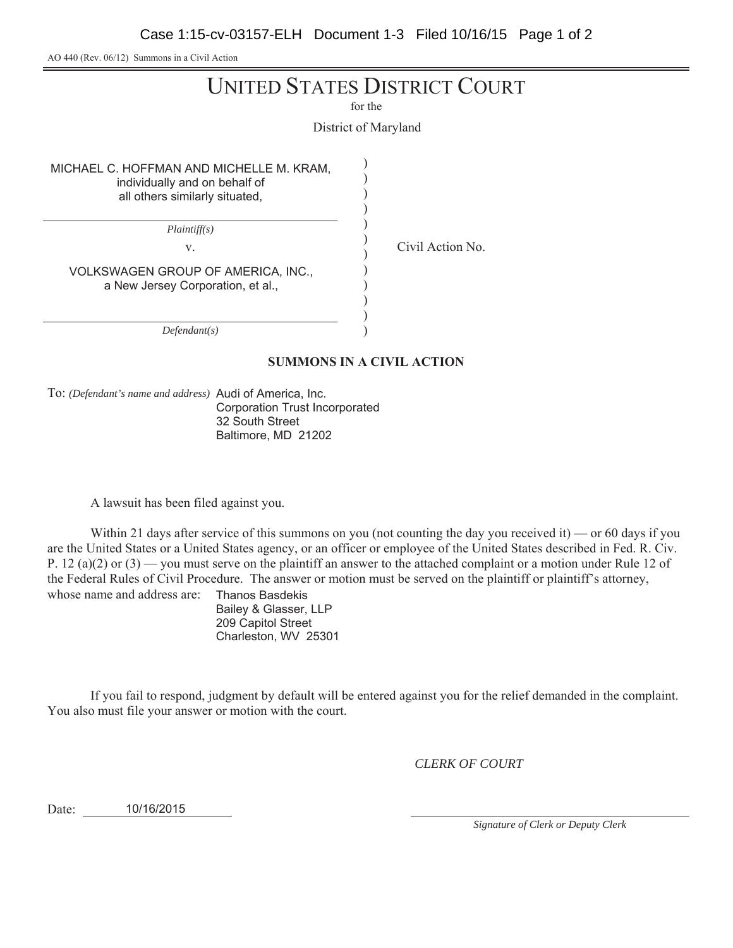Case 1:15-cv-03157-ELH Document 1-3 Filed 10/16/15 Page 1 of 2

AO 440 (Rev. 06/12) Summons in a Civil Action

# UNITED STATES DISTRICT COURT

for the

District of Maryland

) ) ) ) ) ) ) ) ) ) ) )

v. Civil Action No.

MICHAEL C. HOFFMAN AND MICHELLE M. KRAM, individually and on behalf of all others similarly situated,

*Plaintiff(s)*

VOLKSWAGEN GROUP OF AMERICA, INC., a New Jersey Corporation, et al.,

*Defendant(s)*

#### **SUMMONS IN A CIVIL ACTION**

To: *(Defendant's name and address)* Audi of America, Inc. Corporation Trust Incorporated 32 South Street Baltimore, MD 21202

A lawsuit has been filed against you.

Within 21 days after service of this summons on you (not counting the day you received it) — or 60 days if you are the United States or a United States agency, or an officer or employee of the United States described in Fed. R. Civ. P. 12 (a)(2) or  $(3)$  — you must serve on the plaintiff an answer to the attached complaint or a motion under Rule 12 of the Federal Rules of Civil Procedure. The answer or motion must be served on the plaintiff or plaintiff's attorney, whose name and address are: Thanos Basdekis

Bailey & Glasser, LLP 209 Capitol Street Charleston, WV 25301

If you fail to respond, judgment by default will be entered against you for the relief demanded in the complaint. You also must file your answer or motion with the court.

*CLERK OF COURT*

Date: 10/16/2015

*Signature of Clerk or Deputy Clerk*